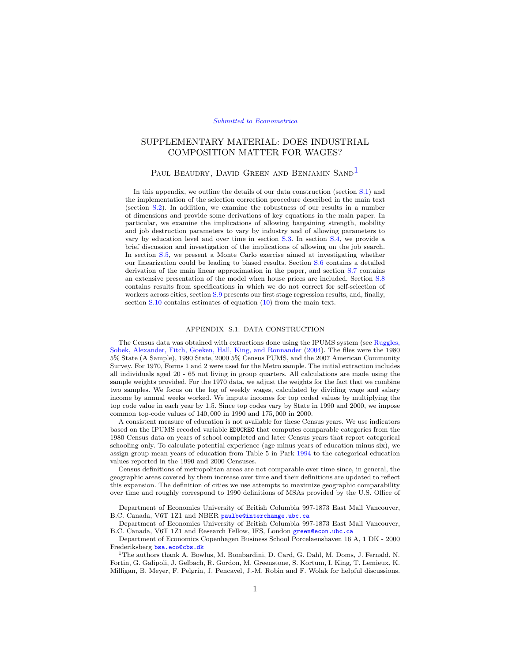#### [Submitted to Econometrica](http://www.econometricsociety.org/)

# <span id="page-0-2"></span>SUPPLEMENTARY MATERIAL: DOES INDUSTRIAL COMPOSITION MATTER FOR WAGES?

# PAUL BEAUDRY, DAVID GREEN AND BENJAMIN SAND<sup>[1](#page-0-0)</sup>

In this appendix, we outline the details of our data construction (section [S.1\)](#page-0-1) and the implementation of the selection correction procedure described in the main text (section [S.2\)](#page-2-0). In addition, we examine the robustness of our results in a number of dimensions and provide some derivations of key equations in the main paper. In particular, we examine the implications of allowing bargaining strength, mobility and job destruction parameters to vary by industry and of allowing parameters to vary by education level and over time in section [S.3.](#page-4-0) In section [S.4,](#page-6-0) we provide a brief discussion and investigation of the implications of allowing on the job search. In section [S.5,](#page-7-0) we present a Monte Carlo exercise aimed at investigating whether our linearization could be leading to biased results. Section [S.6](#page-9-0) contains a detailed derivation of the main linear approximation in the paper, and section [S.7](#page-10-0) contains an extensive presentation of the model when house prices are included. Section [S.8](#page-13-0) contains results from specifications in which we do not correct for self-selection of workers across cities, section [S.9](#page-13-1) presents our first stage regression results, and, finally, section [S.10](#page-14-0) contains estimates of equation (10) from the main text.

### APPENDIX S.1: DATA CONSTRUCTION

<span id="page-0-1"></span>The Census data was obtained with extractions done using the IPUMS system (see [Ruggles,](#page-15-0) [Sobek, Alexander, Fitch, Goeken, Hall, King, and Ronnander](#page-15-0) [\(2004\)](#page-15-0). The files were the 1980 5% State (A Sample), 1990 State, 2000 5% Census PUMS, and the 2007 American Community Survey. For 1970, Forms 1 and 2 were used for the Metro sample. The initial extraction includes all individuals aged 20 - 65 not living in group quarters. All calculations are made using the sample weights provided. For the 1970 data, we adjust the weights for the fact that we combine two samples. We focus on the log of weekly wages, calculated by dividing wage and salary income by annual weeks worked. We impute incomes for top coded values by multiplying the top code value in each year by 1.5. Since top codes vary by State in 1990 and 2000, we impose common top-code values of 140, 000 in 1990 and 175, 000 in 2000.

A consistent measure of education is not available for these Census years. We use indicators based on the IPUMS recoded variable EDUCREC that computes comparable categories from the 1980 Census data on years of school completed and later Census years that report categorical schooling only. To calculate potential experience (age minus years of education minus six), we assign group mean years of education from Table 5 in Park [1994](#page-15-1) to the categorical education values reported in the 1990 and 2000 Censuses.

Census definitions of metropolitan areas are not comparable over time since, in general, the geographic areas covered by them increase over time and their definitions are updated to reflect this expansion. The definition of cities we use attempts to maximize geographic comparability over time and roughly correspond to 1990 definitions of MSAs provided by the U.S. Office of

Department of Economics University of British Columbia 997-1873 East Mall Vancouver, B.C. Canada, V6T 1Z1 and NBER [paulbe@interchange.ubc.ca](mailto:paulbe@interchange.ubc.ca)

Department of Economics University of British Columbia 997-1873 East Mall Vancouver, B.C. Canada, V6T 1Z1 and Research Fellow, IFS, London [green@econ.ubc.ca](mailto:green@econ.ubc.ca)

Department of Economics Copenhagen Business School Porcelaenshaven 16 A, 1 DK - 2000 Frederiksberg [bsa.eco@cbs.dk](mailto:bsa.eco@cbs.dk)

<span id="page-0-0"></span><sup>1</sup>The authors thank A. Bowlus, M. Bombardini, D. Card, G. Dahl, M. Doms, J. Fernald, N. Fortin, G. Galipoli, J. Gelbach, R. Gordon, M. Greenstone, S. Kortum, I. King, T. Lemieux, K. Milligan, B. Meyer, F. Pelgrin, J. Pencavel, J.-M. Robin and F. Wolak for helpful discussions.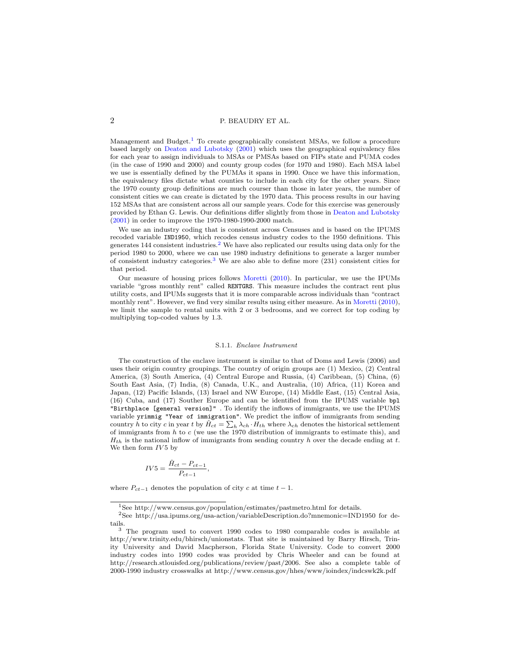Management and Budget.<sup>[1](#page-1-0)</sup> To create geographically consistent MSAs, we follow a procedure based largely on [Deaton and Lubotsky](#page-15-2) [\(2001\)](#page-15-2) which uses the geographical equivalency files for each year to assign individuals to MSAs or PMSAs based on FIPs state and PUMA codes (in the case of 1990 and 2000) and county group codes (for 1970 and 1980). Each MSA label we use is essentially defined by the PUMAs it spans in 1990. Once we have this information, the equivalency files dictate what counties to include in each city for the other years. Since the 1970 county group definitions are much courser than those in later years, the number of consistent cities we can create is dictated by the 1970 data. This process results in our having 152 MSAs that are consistent across all our sample years. Code for this exercise was generously provided by Ethan G. Lewis. Our definitions differ slightly from those in [Deaton and Lubotsky](#page-15-2) [\(2001\)](#page-15-2) in order to improve the 1970-1980-1990-2000 match.

We use an industry coding that is consistent across Censuses and is based on the IPUMS recoded variable IND1950, which recodes census industry codes to the 1950 definitions. This generates  $144$  consistent industries.<sup>[2](#page-1-1)</sup> We have also replicated our results using data only for the period 1980 to 2000, where we can use 1980 industry definitions to generate a larger number of consistent industry categories.[3](#page-1-2) We are also able to define more (231) consistent cities for that period.

Our measure of housing prices follows [Moretti](#page-15-3) [\(2010\)](#page-15-3). In particular, we use the IPUMs variable "gross monthly rent" called RENTGRS. This measure includes the contract rent plus utility costs, and IPUMs suggests that it is more comparable across individuals than "contract monthly rent". However, we find very similar results using either measure. As in [Moretti](#page-15-3) [\(2010\)](#page-15-3), we limit the sample to rental units with 2 or 3 bedrooms, and we correct for top coding by multiplying top-coded values by 1.3.

#### S.1.1. Enclave Instrument

The construction of the enclave instrument is similar to that of Doms and Lewis (2006) and uses their origin country groupings. The country of origin groups are (1) Mexico, (2) Central America, (3) South America, (4) Central Europe and Russia, (4) Caribbean, (5) China, (6) South East Asia, (7) India, (8) Canada, U.K., and Australia, (10) Africa, (11) Korea and Japan, (12) Pacific Islands, (13) Israel and NW Europe, (14) Middle East, (15) Central Asia, (16) Cuba, and (17) Souther Europe and can be identified from the IPUMS variable bpl "Birthplace [general version]" . To identify the inflows of immigrants, we use the IPUMS variable yrimmig "Year of immigration". We predict the inflow of immigrants from sending country h to city c in year t by  $\hat{H}_{ct} = \sum_h \lambda_{ch} \cdot H_{th}$  where  $\lambda_{ch}$  denotes the historical settlement of immigrants from  $h$  to  $c$  (we use the 1970 distribution of immigrants to estimate this), and  $H_{th}$  is the national inflow of immigrants from sending country h over the decade ending at t. We then form  $IV5$  by

$$
IV5 = \frac{\hat{H}_{ct} - P_{ct-1}}{P_{ct-1}},
$$

where  $P_{ct-1}$  denotes the population of city c at time  $t-1$ .

<span id="page-1-1"></span><span id="page-1-0"></span><sup>1</sup>See http://www.census.gov/population/estimates/pastmetro.html for details.

 $2$ See http://usa.ipums.org/usa-action/variableDescription.do?mnemonic=IND1950 for details.

<span id="page-1-2"></span><sup>3</sup> The program used to convert 1990 codes to 1980 comparable codes is available at http://www.trinity.edu/bhirsch/unionstats. That site is maintained by Barry Hirsch, Trinity University and David Macpherson, Florida State University. Code to convert 2000 industry codes into 1990 codes was provided by Chris Wheeler and can be found at http://research.stlouisfed.org/publications/review/past/2006. See also a complete table of 2000-1990 industry crosswalks at http://www.census.gov/hhes/www/ioindex/indcswk2k.pdf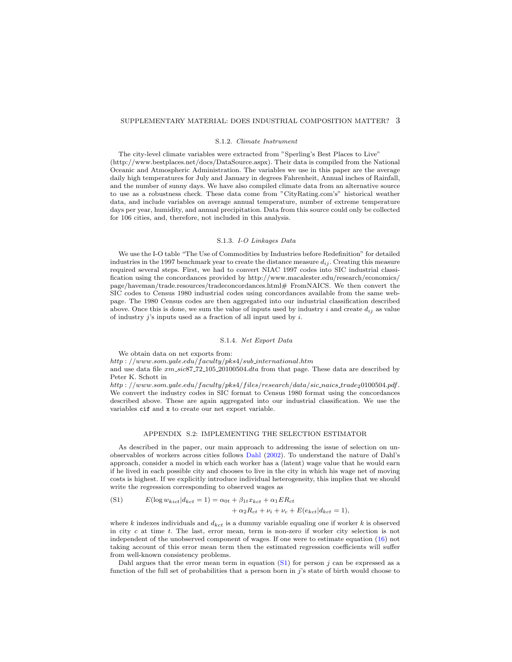### S.1.2. Climate Instrument

The city-level climate variables were extracted from "Sperling's Best Places to Live" (http://www.bestplaces.net/docs/DataSource.aspx). Their data is compiled from the National Oceanic and Atmospheric Administration. The variables we use in this paper are the average daily high temperatures for July and January in degrees Fahrenheit, Annual inches of Rainfall, and the number of sunny days. We have also compiled climate data from an alternative source to use as a robustness check. These data come from "CityRating.com's" historical weather data, and include variables on average annual temperature, number of extreme temperature days per year, humidity, and annual precipitation. Data from this source could only be collected for 106 cities, and, therefore, not included in this analysis.

### S.1.3. I-O Linkages Data

We use the I-O table "The Use of Commodities by Industries before Redefinition" for detailed industries in the 1997 benchmark year to create the distance measure  $d_{ij}$ . Creating this measure required several steps. First, we had to convert NIAC 1997 codes into SIC industrial classification using the concordances provided by http://www.macalester.edu/research/economics/ page/haveman/trade.resources/tradeconcordances.html# FromNAICS. We then convert the SIC codes to Census 1980 industrial codes using concordances available from the same webpage. The 1980 Census codes are then aggregated into our industrial classification described above. Once this is done, we sum the value of inputs used by industry i and create  $d_{ij}$  as value of industry  $j$ 's inputs used as a fraction of all input used by  $i$ .

## S.1.4. Net Export Data

We obtain data on net exports from:

http : //www.som.yale.edu/faculty/pks4/sub international.htm

and use data file  $xm\_sic87\_72\_105\_20100504.dat$  from that page. These data are described by Peter K. Schott in

http : //www.som.yale.edu/faculty/pks4/files/research/data/sic\_naics\_trade20100504.pdf. We convert the industry codes in SIC format to Census 1980 format using the concordances described above. These are again aggregated into our industrial classification. We use the variables cif and x to create our net export variable.

## APPENDIX S.2: IMPLEMENTING THE SELECTION ESTIMATOR

<span id="page-2-0"></span>As described in the paper, our main approach to addressing the issue of selection on unobservables of workers across cities follows [Dahl](#page-15-4) [\(2002\)](#page-15-4). To understand the nature of Dahl's approach, consider a model in which each worker has a (latent) wage value that he would earn if he lived in each possible city and chooses to live in the city in which his wage net of moving costs is highest. If we explicitly introduce individual heterogeneity, this implies that we should write the regression corresponding to observed wages as

<span id="page-2-1"></span>(S1) 
$$
E(\log w_{kict}|d_{kct} = 1) = \alpha_{0t} + \beta_{1t}x_{kct} + \alpha_1 ER_{ct}
$$

$$
+ \alpha_2 R_{ct} + \nu_i + \nu_c + E(e_{kct}|d_{kct} = 1),
$$

where k indexes individuals and  $d_{kct}$  is a dummy variable equaling one if worker k is observed in city  $c$  at time  $t$ . The last, error mean, term is non-zero if worker city selection is not independent of the unobserved component of wages. If one were to estimate equation [\(16\)](#page-0-2) not taking account of this error mean term then the estimated regression coefficients will suffer from well-known consistency problems.

Dahl argues that the error mean term in equation  $(S1)$  for person j can be expressed as a function of the full set of probabilities that a person born in j's state of birth would choose to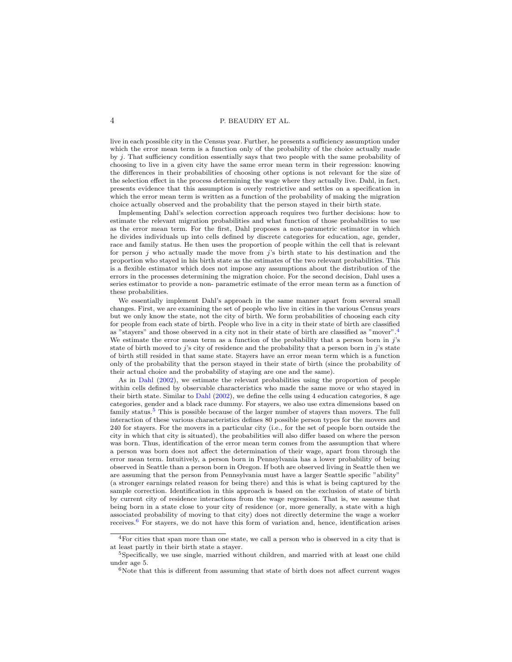live in each possible city in the Census year. Further, he presents a sufficiency assumption under which the error mean term is a function only of the probability of the choice actually made by j. That sufficiency condition essentially says that two people with the same probability of choosing to live in a given city have the same error mean term in their regression: knowing the differences in their probabilities of choosing other options is not relevant for the size of the selection effect in the process determining the wage where they actually live. Dahl, in fact, presents evidence that this assumption is overly restrictive and settles on a specification in which the error mean term is written as a function of the probability of making the migration choice actually observed and the probability that the person stayed in their birth state.

Implementing Dahl's selection correction approach requires two further decisions: how to estimate the relevant migration probabilities and what function of those probabilities to use as the error mean term. For the first, Dahl proposes a non-parametric estimator in which he divides individuals up into cells defined by discrete categories for education, age, gender, race and family status. He then uses the proportion of people within the cell that is relevant for person  $j$  who actually made the move from  $j$ 's birth state to his destination and the proportion who stayed in his birth state as the estimates of the two relevant probabilities. This is a flexible estimator which does not impose any assumptions about the distribution of the errors in the processes determining the migration choice. For the second decision, Dahl uses a series estimator to provide a non- parametric estimate of the error mean term as a function of these probabilities.

We essentially implement Dahl's approach in the same manner apart from several small changes. First, we are examining the set of people who live in cities in the various Census years but we only know the state, not the city of birth. We form probabilities of choosing each city for people from each state of birth. People who live in a city in their state of birth are classified as "stayers" and those observed in a city not in their state of birth are classified as "mover". We estimate the error mean term as a function of the probability that a person born in  $j$ 's state of birth moved to j's city of residence and the probability that a person born in j's state of birth still resided in that same state. Stayers have an error mean term which is a function only of the probability that the person stayed in their state of birth (since the probability of their actual choice and the probability of staying are one and the same).

As in [Dahl](#page-15-4) [\(2002\)](#page-15-4), we estimate the relevant probabilities using the proportion of people within cells defined by observable characteristics who made the same move or who stayed in their birth state. Similar to [Dahl](#page-15-4) [\(2002\)](#page-15-4), we define the cells using 4 education categories, 8 age categories, gender and a black race dummy. For stayers, we also use extra dimensions based on family status.<sup>[5](#page-3-1)</sup> This is possible because of the larger number of stayers than movers. The full interaction of these various characteristics defines 80 possible person types for the movers and 240 for stayers. For the movers in a particular city (i.e., for the set of people born outside the city in which that city is situated), the probabilities will also differ based on where the person was born. Thus, identification of the error mean term comes from the assumption that where a person was born does not affect the determination of their wage, apart from through the error mean term. Intuitively, a person born in Pennsylvania has a lower probability of being observed in Seattle than a person born in Oregon. If both are observed living in Seattle then we are assuming that the person from Pennsylvania must have a larger Seattle specific "ability" (a stronger earnings related reason for being there) and this is what is being captured by the sample correction. Identification in this approach is based on the exclusion of state of birth by current city of residence interactions from the wage regression. That is, we assume that being born in a state close to your city of residence (or, more generally, a state with a high associated probability of moving to that city) does not directly determine the wage a worker receives.[6](#page-3-2) For stayers, we do not have this form of variation and, hence, identification arises

<span id="page-3-0"></span><sup>4</sup>For cities that span more than one state, we call a person who is observed in a city that is at least partly in their birth state a stayer.

<span id="page-3-1"></span><sup>5</sup>Specifically, we use single, married without children, and married with at least one child under age 5.

<span id="page-3-2"></span> $6$ Note that this is different from assuming that state of birth does not affect current wages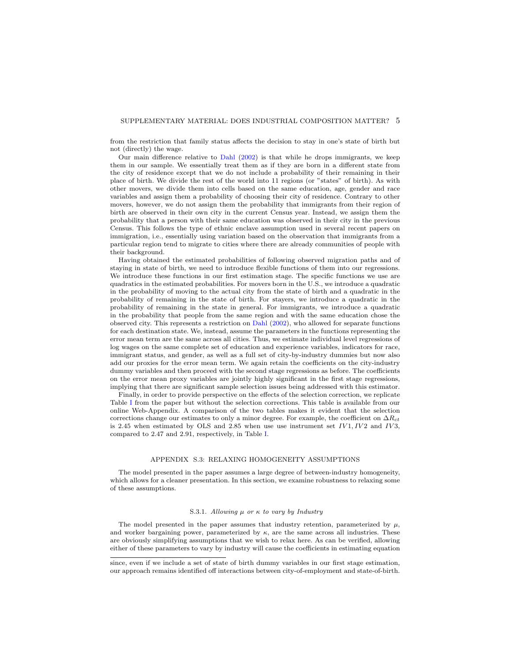from the restriction that family status affects the decision to stay in one's state of birth but not (directly) the wage.

Our main difference relative to [Dahl](#page-15-4) [\(2002\)](#page-15-4) is that while he drops immigrants, we keep them in our sample. We essentially treat them as if they are born in a different state from the city of residence except that we do not include a probability of their remaining in their place of birth. We divide the rest of the world into 11 regions (or "states" of birth). As with other movers, we divide them into cells based on the same education, age, gender and race variables and assign them a probability of choosing their city of residence. Contrary to other movers, however, we do not assign them the probability that immigrants from their region of birth are observed in their own city in the current Census year. Instead, we assign them the probability that a person with their same education was observed in their city in the previous Census. This follows the type of ethnic enclave assumption used in several recent papers on immigration, i.e., essentially using variation based on the observation that immigrants from a particular region tend to migrate to cities where there are already communities of people with their background.

Having obtained the estimated probabilities of following observed migration paths and of staying in state of birth, we need to introduce flexible functions of them into our regressions. We introduce these functions in our first estimation stage. The specific functions we use are quadratics in the estimated probabilities. For movers born in the U.S., we introduce a quadratic in the probability of moving to the actual city from the state of birth and a quadratic in the probability of remaining in the state of birth. For stayers, we introduce a quadratic in the probability of remaining in the state in general. For immigrants, we introduce a quadratic in the probability that people from the same region and with the same education chose the observed city. This represents a restriction on [Dahl](#page-15-4) [\(2002\)](#page-15-4), who allowed for separate functions for each destination state. We, instead, assume the parameters in the functions representing the error mean term are the same across all cities. Thus, we estimate individual level regressions of log wages on the same complete set of education and experience variables, indicators for race, immigrant status, and gender, as well as a full set of city-by-industry dummies but now also add our proxies for the error mean term. We again retain the coefficients on the city-industry dummy variables and then proceed with the second stage regressions as before. The coefficients on the error mean proxy variables are jointly highly significant in the first stage regressions, implying that there are significant sample selection issues being addressed with this estimator.

Finally, in order to provide perspective on the effects of the selection correction, we replicate Table [I](#page-17-0) from the paper but without the selection corrections. This table is available from our online Web-Appendix. A comparison of the two tables makes it evident that the selection corrections change our estimates to only a minor degree. For example, the coefficient on  $\Delta R_{ct}$ is 2.45 when estimated by OLS and 2.85 when use use instrument set  $IV1, IV2$  and  $IV3$ , compared to 2.47 and 2.91, respectively, in Table [I.](#page-17-0)

### APPENDIX S.3: RELAXING HOMOGENEITY ASSUMPTIONS

<span id="page-4-0"></span>The model presented in the paper assumes a large degree of between-industry homogeneity, which allows for a cleaner presentation. In this section, we examine robustness to relaxing some of these assumptions.

#### S.3.1. Allowing  $\mu$  or  $\kappa$  to vary by Industry

The model presented in the paper assumes that industry retention, parameterized by  $\mu$ , and worker bargaining power, parameterized by  $\kappa$ , are the same across all industries. These are obviously simplifying assumptions that we wish to relax here. As can be verified, allowing either of these parameters to vary by industry will cause the coefficients in estimating equation

since, even if we include a set of state of birth dummy variables in our first stage estimation, our approach remains identified off interactions between city-of-employment and state-of-birth.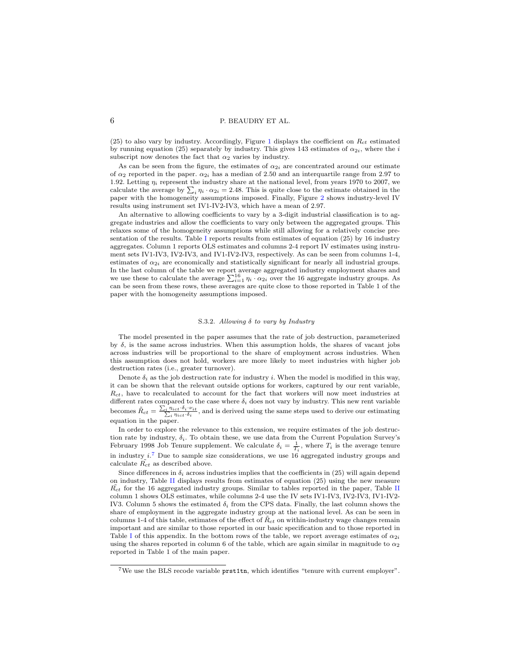(25) to also vary by industry. Accordingly, Figure [1](#page-15-5) displays the coefficient on  $R_{ct}$  estimated by running equation (25) separately by industry. This gives 143 estimates of  $\alpha_{2i}$ , where the i subscript now denotes the fact that  $\alpha_2$  varies by industry.

As can be seen from the figure, the estimates of  $\alpha_{2i}$  are concentrated around our estimate of  $\alpha_2$  reported in the paper.  $\alpha_{2i}$  has a median of 2.50 and an interquartile range from 2.97 to 1.92. Letting  $\eta_i$  represent the industry share at the national level, from years 1970 to 2007, we calculate the average by  $\sum_i \eta_i \cdot \alpha_{2i} = 2.48$ . This is quite close to the estimate obtained in the paper with the homogeneity assumptions imposed. Finally, Figure [2](#page-16-0) shows industry-level IV results using instrument set IV1-IV2-IV3, which have a mean of 2.97.

An alternative to allowing coefficients to vary by a 3-digit industrial classification is to aggregate industries and allow the coefficients to vary only between the aggregated groups. This relaxes some of the homogeneity assumptions while still allowing for a relatively concise presentation of the results. Table [I](#page-17-0) reports results from estimates of equation (25) by 16 industry aggregates. Column 1 reports OLS estimates and columns 2-4 report IV estimates using instrument sets IV1-IV3, IV2-IV3, and IV1-IV2-IV3, respectively. As can be seen from columns 1-4, estimates of  $\alpha_{2i}$  are economically and statistically significant for nearly all industrial groups. In the last column of the table we report average aggregated industry employment shares and we use these to calculate the average  $\sum_{i=1}^{16} \eta_i \cdot \alpha_{2i}$  over the 16 aggregate industry groups. As can be seen from these rows, these averages are quite close to those reported in Table 1 of the paper with the homogeneity assumptions imposed.

### S.3.2. Allowing  $\delta$  to vary by Industry

The model presented in the paper assumes that the rate of job destruction, parameterized by  $\delta$ , is the same across industries. When this assumption holds, the shares of vacant jobs across industries will be proportional to the share of employment across industries. When this assumption does not hold, workers are more likely to meet industries with higher job destruction rates (i.e., greater turnover).

Denote  $\delta_i$  as the job destruction rate for industry i. When the model is modified in this way, it can be shown that the relevant outside options for workers, captured by our rent variable,  $R_{ct}$ , have to recalculated to account for the fact that workers will now meet industries at different rates compared to the case where  $\delta_i$  does not vary by industry. This new rent variable becomes  $\tilde{R}_{ct} = \frac{\sum_i \eta_{ict} \cdot \delta_i \cdot \nu_{it}}{\sum_i \eta_{ict} \cdot \delta_i}$ , and is derived using the same steps used to derive our estimating equation in the paper.

In order to explore the relevance to this extension, we require estimates of the job destruction rate by industry,  $\delta_i$ . To obtain these, we use data from the Current Population Survey's February 1998 Job Tenure supplement. We calculate  $\delta_i = \frac{1}{T_i}$ , where  $T_i$  is the average tenure in industry  $i^{\mathsf{T}}$ . Due to sample size considerations, we use 16 aggregated industry groups and calculate  $\tilde{R_{ct}}$  as described above.

Since differences in  $\delta_i$  across industries implies that the coefficients in (25) will again depend on industry, Table [II](#page-18-0) displays results from estimates of equation (25) using the new measure  $R_{ct}$  for the 16 aggregated industry groups. Similar to tables reported in the paper, Table [II](#page-18-0) column 1 shows OLS estimates, while columns 2-4 use the IV sets IV1-IV3, IV2-IV3, IV1-IV2- IV3. Column 5 shows the estimated  $\delta_i$  from the CPS data. Finally, the last column shows the share of employment in the aggregate industry group at the national level. As can be seen in columns 1-4 of this table, estimates of the effect of  $\tilde{R}_{ct}$  on within-industry wage changes remain important and are similar to those reported in our basic specification and to those reported in Table [I](#page-17-0) of this appendix. In the bottom rows of the table, we report average estimates of  $\alpha_{2i}$ using the shares reported in column 6 of the table, which are again similar in magnitude to  $\alpha_2$ reported in Table 1 of the main paper.

<span id="page-5-0"></span><sup>7</sup>We use the BLS recode variable prst1tn, which identifies "tenure with current employer".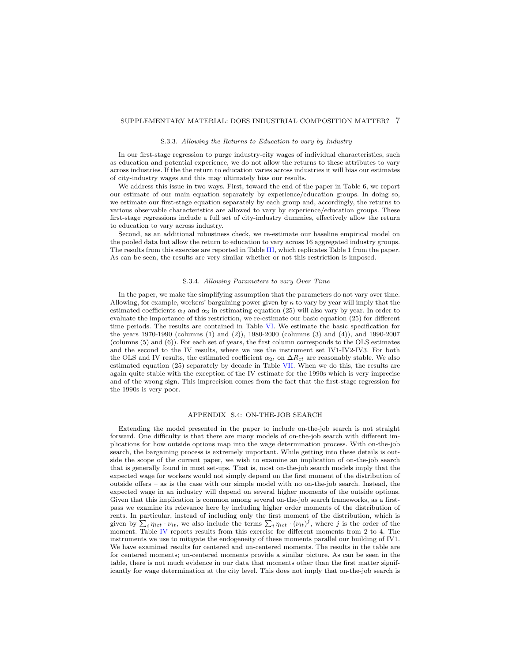### S.3.3. Allowing the Returns to Education to vary by Industry

In our first-stage regression to purge industry-city wages of individual characteristics, such as education and potential experience, we do not allow the returns to these attributes to vary across industries. If the the return to education varies across industries it will bias our estimates of city-industry wages and this may ultimately bias our results.

We address this issue in two ways. First, toward the end of the paper in Table 6, we report our estimate of our main equation separately by experience/education groups. In doing so, we estimate our first-stage equation separately by each group and, accordingly, the returns to various observable characteristics are allowed to vary by experience/education groups. These first-stage regressions include a full set of city-industry dummies, effectively allow the return to education to vary across industry.

Second, as an additional robustness check, we re-estimate our baseline empirical model on the pooled data but allow the return to education to vary across 16 aggregated industry groups. The results from this exercise are reported in Table [III,](#page-19-0) which replicates Table 1 from the paper. As can be seen, the results are very similar whether or not this restriction is imposed.

#### S.3.4. Allowing Parameters to vary Over Time

In the paper, we make the simplifying assumption that the parameters do not vary over time. Allowing, for example, workers' bargaining power given by  $\kappa$  to vary by year will imply that the estimated coefficients  $\alpha_2$  and  $\alpha_3$  in estimating equation (25) will also vary by year. In order to evaluate the importance of this restriction, we re-estimate our basic equation (25) for different time periods. The results are contained in Table [VI.](#page-22-0) We estimate the basic specification for the years 1970-1990 (columns (1) and (2)), 1980-2000 (columns (3) and (4)), and 1990-2007 (columns (5) and (6)). For each set of years, the first column corresponds to the OLS estimates and the second to the IV results, where we use the instrument set IV1-IV2-IV3. For both the OLS and IV results, the estimated coefficient  $\alpha_{2t}$  on  $\Delta R_{ct}$  are reasonably stable. We also estimated equation (25) separately by decade in Table [VII.](#page-22-1) When we do this, the results are again quite stable with the exception of the IV estimate for the 1990s which is very imprecise and of the wrong sign. This imprecision comes from the fact that the first-stage regression for the 1990s is very poor.

## APPENDIX S.4: ON-THE-JOB SEARCH

<span id="page-6-0"></span>Extending the model presented in the paper to include on-the-job search is not straight forward. One difficulty is that there are many models of on-the-job search with different implications for how outside options map into the wage determination process. With on-the-job search, the bargaining process is extremely important. While getting into these details is outside the scope of the current paper, we wish to examine an implication of on-the-job search that is generally found in most set-ups. That is, most on-the-job search models imply that the expected wage for workers would not simply depend on the first moment of the distribution of outside offers – as is the case with our simple model with no on-the-job search. Instead, the expected wage in an industry will depend on several higher moments of the outside options. Given that this implication is common among several on-the-job search frameworks, as a firstpass we examine its relevance here by including higher order moments of the distribution of rents. In particular, instead of including only the first moment of the distribution, which is given by  $\sum_i \eta_{ict} \cdot \nu_{it}$ , we also include the terms  $\sum_i \eta_{ict} \cdot (\nu_{it})^j$ , where j is the order of the moment. Table [IV](#page-20-0) reports results from this exercise for different moments from 2 to 4. The instruments we use to mitigate the endogeneity of these moments parallel our building of IV1. We have examined results for centered and un-centered moments. The results in the table are for centered moments; un-centered moments provide a similar picture. As can be seen in the table, there is not much evidence in our data that moments other than the first matter significantly for wage determination at the city level. This does not imply that on-the-job search is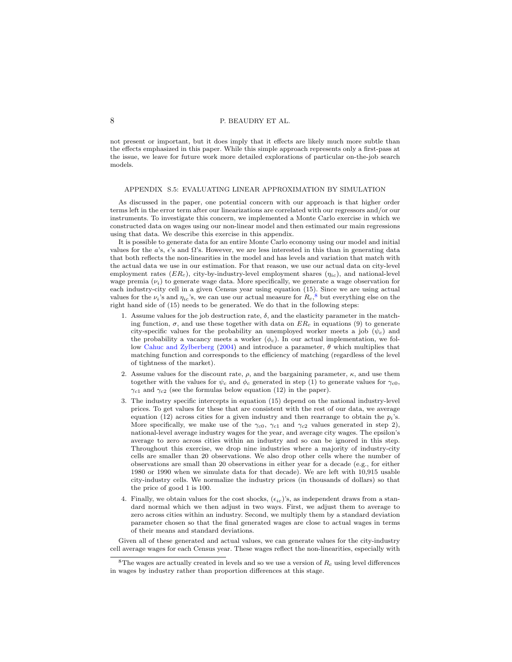not present or important, but it does imply that it effects are likely much more subtle than the effects emphasized in this paper. While this simple approach represents only a first-pass at the issue, we leave for future work more detailed explorations of particular on-the-job search models.

### <span id="page-7-0"></span>APPENDIX S.5: EVALUATING LINEAR APPROXIMATION BY SIMULATION

As discussed in the paper, one potential concern with our approach is that higher order terms left in the error term after our linearizations are correlated with our regressors and/or our instruments. To investigate this concern, we implemented a Monte Carlo exercise in which we constructed data on wages using our non-linear model and then estimated our main regressions using that data. We describe this exercise in this appendix.

It is possible to generate data for an entire Monte Carlo economy using our model and initial values for the a's,  $\epsilon$ 's and  $\Omega$ 's. However, we are less interested in this than in generating data that both reflects the non-linearities in the model and has levels and variation that match with the actual data we use in our estimation. For that reason, we use our actual data on city-level employment rates  $(ER<sub>c</sub>)$ , city-by-industry-level employment shares  $(\eta_{ic})$ , and national-level wage premia  $(\nu_i)$  to generate wage data. More specifically, we generate a wage observation for each industry-city cell in a given Census year using equation (15). Since we are using actual values for the  $\nu_i$ 's and  $\eta_{ic}$ 's, we can use our actual measure for  $R_c$ <sup>[8](#page-7-1)</sup>, but everything else on the right hand side of (15) needs to be generated. We do that in the following steps:

- 1. Assume values for the job destruction rate,  $\delta$ , and the elasticity parameter in the matching function,  $\sigma$ , and use these together with data on  $ER_c$  in equations (9) to generate city-specific values for the probability an unemployed worker meets a job  $(\psi_c)$  and the probability a vacancy meets a worker  $(\phi_c)$ . In our actual implementation, we fol-low [Cahuc and Zylberberg](#page-15-6) [\(2004\)](#page-15-6) and introduce a parameter,  $\theta$  which multiplies that matching function and corresponds to the efficiency of matching (regardless of the level of tightness of the market).
- 2. Assume values for the discount rate,  $\rho$ , and the bargaining parameter,  $\kappa$ , and use them together with the values for  $\psi_c$  and  $\phi_c$  generated in step (1) to generate values for  $\gamma_{c0}$ ,  $\gamma_{c1}$  and  $\gamma_{c2}$  (see the formulas below equation (12) in the paper).
- 3. The industry specific intercepts in equation (15) depend on the national industry-level prices. To get values for these that are consistent with the rest of our data, we average equation (12) across cities for a given industry and then rearrange to obtain the  $p_i$ 's. More specifically, we make use of the  $\gamma_{c0}$ ,  $\gamma_{c1}$  and  $\gamma_{c2}$  values generated in step 2), national-level average industry wages for the year, and average city wages. The epsilon's average to zero across cities within an industry and so can be ignored in this step. Throughout this exercise, we drop nine industries where a majority of industry-city cells are smaller than 20 observations. We also drop other cells where the number of observations are small than 20 observations in either year for a decade (e.g., for either 1980 or 1990 when we simulate data for that decade). We are left with 10,915 usable city-industry cells. We normalize the industry prices (in thousands of dollars) so that the price of good 1 is 100.
- 4. Finally, we obtain values for the cost shocks,  $(\epsilon_{ic})$ 's, as independent draws from a standard normal which we then adjust in two ways. First, we adjust them to average to zero across cities within an industry. Second, we multiply them by a standard deviation parameter chosen so that the final generated wages are close to actual wages in terms of their means and standard deviations.

Given all of these generated and actual values, we can generate values for the city-industry cell average wages for each Census year. These wages reflect the non-linearities, especially with

<span id="page-7-1"></span> $8$ The wages are actually created in levels and so we use a version of  $R_c$  using level differences in wages by industry rather than proportion differences at this stage.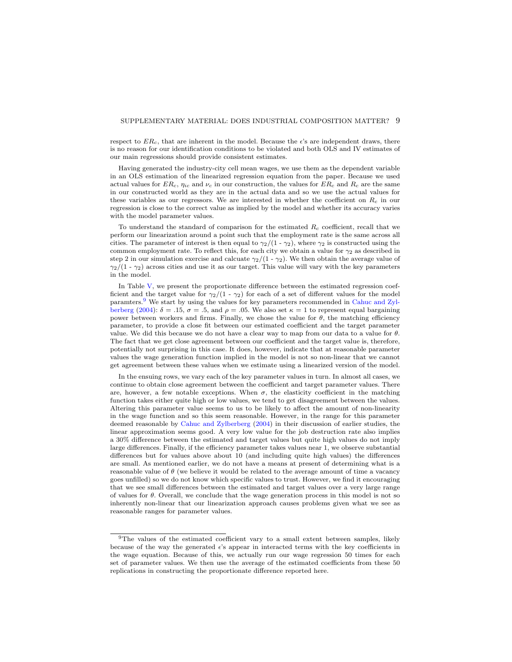respect to  $ER_c$ , that are inherent in the model. Because the  $\epsilon$ 's are independent draws, there is no reason for our identification conditions to be violated and both OLS and IV estimates of our main regressions should provide consistent estimates.

Having generated the industry-city cell mean wages, we use them as the dependent variable in an OLS estimation of the linearized regression equation from the paper. Because we used actual values for  $ER_c$ ,  $\eta_{ic}$  and  $\nu_c$  in our construction, the values for  $ER_c$  and  $R_c$  are the same in our constructed world as they are in the actual data and so we use the actual values for these variables as our regressors. We are interested in whether the coefficient on  $R_c$  in our regression is close to the correct value as implied by the model and whether its accuracy varies with the model parameter values.

To understand the standard of comparison for the estimated  $R_c$  coefficient, recall that we perform our linearization around a point such that the employment rate is the same across all cities. The parameter of interest is then equal to  $\gamma_2/(1 - \gamma_2)$ , where  $\gamma_2$  is constructed using the common employment rate. To reflect this, for each city we obtain a value for  $\gamma_2$  as described in step 2 in our simulation exercise and calcuate  $\gamma_2/(1 - \gamma_2)$ . We then obtain the average value of  $\gamma_2/(1 - \gamma_2)$  across cities and use it as our target. This value will vary with the key parameters in the model.

In Table [V,](#page-21-0) we present the proportionate difference between the estimated regression coefficient and the target value for  $\gamma_2/(1 - \gamma_2)$  for each of a set of different values for the model paramters.[9](#page-8-0) We start by using the values for key parameters recommended in [Cahuc and Zyl](#page-15-6)[berberg](#page-15-6) [\(2004\)](#page-15-6):  $\delta = .15$ ,  $\sigma = .5$ , and  $\rho = .05$ . We also set  $\kappa = 1$  to represent equal bargaining power between workers and firms. Finally, we chose the value for  $\theta$ , the matching efficiency parameter, to provide a close fit between our estimated coefficient and the target parameter value. We did this because we do not have a clear way to map from our data to a value for  $\theta$ . The fact that we get close agreement between our coefficient and the target value is, therefore, potentially not surprising in this case. It does, however, indicate that at reasonable parameter values the wage generation function implied in the model is not so non-linear that we cannot get agreement between these values when we estimate using a linearized version of the model.

In the ensuing rows, we vary each of the key parameter values in turn. In almost all cases, we continue to obtain close agreement between the coefficient and target parameter values. There are, however, a few notable exceptions. When  $\sigma$ , the elasticity coefficient in the matching function takes either quite high or low values, we tend to get disagreement between the values. Altering this parameter value seems to us to be likely to affect the amount of non-linearity in the wage function and so this seem reasonable. However, in the range for this parameter deemed reasonable by [Cahuc and Zylberberg](#page-15-6) [\(2004\)](#page-15-6) in their discussion of earlier studies, the linear approximation seems good. A very low value for the job destruction rate also implies a 30% difference between the estimated and target values but quite high values do not imply large differences. Finally, if the efficiency parameter takes values near 1, we observe substantial differences but for values above about 10 (and including quite high values) the differences are small. As mentioned earlier, we do not have a means at present of determining what is a reasonable value of  $\theta$  (we believe it would be related to the average amount of time a vacancy goes unfilled) so we do not know which specific values to trust. However, we find it encouraging that we see small differences between the estimated and target values over a very large range of values for  $\theta$ . Overall, we conclude that the wage generation process in this model is not so inherently non-linear that our linearization approach causes problems given what we see as reasonable ranges for parameter values.

<span id="page-8-0"></span><sup>&</sup>lt;sup>9</sup>The values of the estimated coefficient vary to a small extent between samples, likely because of the way the generated  $\epsilon$ 's appear in interacted terms with the key coefficients in the wage equation. Because of this, we actually run our wage regression 50 times for each set of parameter values. We then use the average of the estimated coefficients from these 50 replications in constructing the proportionate difference reported here.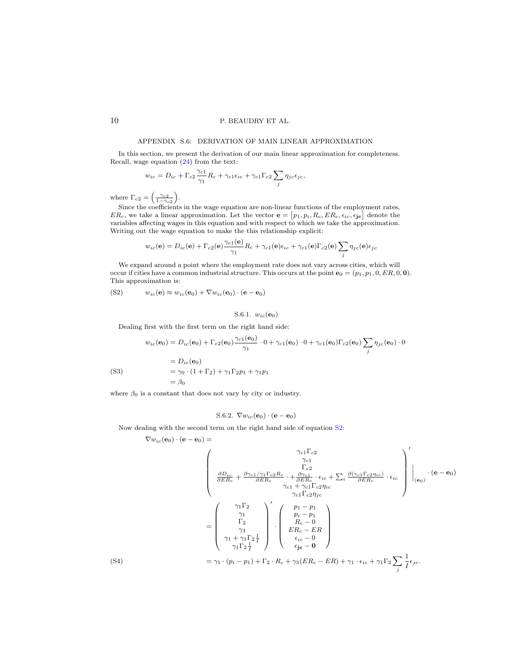### APPENDIX S.6: DERIVATION OF MAIN LINEAR APPROXIMATION

<span id="page-9-0"></span>In this section, we present the derivation of our main linear approximation for completeness. Recall, wage equation [\(24\)](#page-0-2) from the text:

$$
w_{ic}=D_{ic}+\Gamma_{c2}\frac{\gamma_{c1}}{\gamma_{1}}R_{c}+\gamma_{c1}\epsilon_{ic}+\gamma_{c1}\Gamma_{c2}\sum_{j}\eta_{jc}\epsilon_{jc},
$$

where  $\Gamma_{c2} = \left(\frac{\gamma_{c2}}{1-\gamma_{c2}}\right)$ .

Since the coefficients in the wage equation are non-linear functions of the employment rates,  $ER_c$ , we take a linear approximation. Let the vector  $\mathbf{e} = [p_1, p_i, R_c, ER_c, \epsilon_{ic}, \epsilon_{jc}]$  denote the variables affecting wages in this equation and with respect to which we take the approximation. Writing out the wage equation to make the this relationship explicit:

$$
w_{ic}(\mathbf{e}) = D_{ic}(\mathbf{e}) + \Gamma_{c2}(\mathbf{e})\frac{\gamma_{c1}(\mathbf{e})}{\gamma_1}R_c + \gamma_{c1}(\mathbf{e})\epsilon_{ic} + \gamma_{c1}(\mathbf{e})\Gamma_{c2}(\mathbf{e})\sum_j \eta_{jc}(\mathbf{e})\epsilon_{jc}
$$

We expand around a point where the employment rate does not vary across cities, which will occur if cities have a common industrial structure. This occurs at the point  $e_0 = (p_1, p_1, 0, ER, 0, 0)$ . This approximation is:

<span id="page-9-1"></span>
$$
(S2) \t w_{ic}(\mathbf{e}) \approx w_{ic}(\mathbf{e}_0) + \nabla w_{ic}(\mathbf{e}_0) \cdot (\mathbf{e} - \mathbf{e}_0)
$$

S.6.1. 
$$
w_{ic}(\mathbf{e}_0)
$$

Dealing first with the first term on the right hand side:

$$
w_{ic}(\mathbf{e}_0) = D_{ic}(\mathbf{e}_0) + \Gamma_{c2}(\mathbf{e}_0) \frac{\gamma_{c1}(\mathbf{e}_0)}{\gamma_1} \cdot 0 + \gamma_{c1}(\mathbf{e}_0) \cdot 0 + \gamma_{c1}(\mathbf{e}_0) \Gamma_{c2}(\mathbf{e}_0) \sum_j \eta_{jc}(\mathbf{e}_0) \cdot 0
$$
  
=  $D_{ic}(\mathbf{e}_0)$   
=  $\gamma_0 \cdot (1 + \Gamma_2) + \gamma_1 \Gamma_2 p_1 + \gamma_1 p_1$   
=  $\beta_0$ 

<span id="page-9-2"></span>where  $\beta_0$  is a constant that does not vary by city or industry.

S.6.2. 
$$
\nabla w_{ic}(\mathbf{e}_0) \cdot (\mathbf{e} - \mathbf{e}_0)
$$

Now dealing with the second term on the right hand side of equation [S2:](#page-9-1)

$$
\nabla w_{ic}({\bf e}_0)\cdot({\bf e}-{\bf e}_0)=
$$

$$
\begin{pmatrix}\n\gamma_{c1}\Gamma_{c2} \\
\frac{\partial D_{ic}}{\partial E R_{c}} + \frac{\partial \gamma_{c1} / \gamma_{1} \Gamma_{c2} R_{c}}{\partial E R_{c}} \cdot + \frac{\partial \gamma_{c1}}{\partial E R_{c}} \cdot \epsilon_{ic} + \sum_{i} \frac{\partial (\gamma_{c1} \Gamma_{c2} \eta_{ic})}{\partial E R_{c}} \cdot \epsilon_{ic} \\
\gamma_{c1} \Gamma_{c2} \eta_{ic} \\
\gamma_{c1} \Gamma_{c2} \eta_{jc} \\
\gamma_{c1} \Gamma_{c2} \eta_{jc} \\
\gamma_{c1} \Gamma_{c2} \eta_{jc} \\
\gamma_{c1} \Gamma_{c2} \eta_{jc} \\
\gamma_{c1} \Gamma_{c2} \eta_{jc} \\
\gamma_{c1} \Gamma_{c2} \eta_{jc} \\
\gamma_{c1} \Gamma_{c2} \eta_{jc} \\
\epsilon_{ic} - 0 \\
\gamma_{1} \Gamma_{2} \frac{1}{I}\n\end{pmatrix}\n\cdot\n\begin{pmatrix}\np_{1} - p_{1} \\
p_{i} - p_{1} \\
R_{c} - E R \\
E R_{c} - E R \\
\epsilon_{ic} - 0 \\
\epsilon_{jc} - 0\n\end{pmatrix}
$$
\n(S4)\n
$$
= \gamma_{1} \cdot (p_{i} - p_{1}) + \Gamma_{2} \cdot R_{c} + \gamma_{3} (E R_{c} - E R) + \gamma_{1} \cdot \epsilon_{ic} + \gamma_{1} \Gamma_{2} \sum_{j} \frac{1}{I} \epsilon_{jc}.
$$

<span id="page-9-3"></span>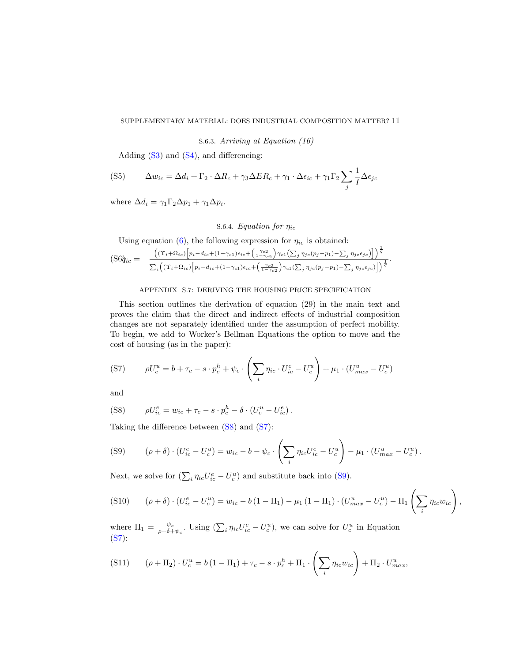S.6.3. Arriving at Equation (16)

Adding  $(S3)$  and  $(S4)$ , and differencing:

$$
(S5) \qquad \Delta w_{ic} = \Delta d_i + \Gamma_2 \cdot \Delta R_c + \gamma_3 \Delta E R_c + \gamma_1 \cdot \Delta \epsilon_{ic} + \gamma_1 \Gamma_2 \sum_j \frac{1}{I} \Delta \epsilon_{jc}
$$

where  $\Delta d_i = \gamma_1 \Gamma_2 \Delta p_1 + \gamma_1 \Delta p_i$ .

# S.6.4. Equation for  $\eta_{ic}$

Using equation [\(6\)](#page-0-2), the following expression for  $\eta_{ic}$  is obtained:

$$
\text{(S6)}\begin{aligned}\n&\text{(S6)}\begin{aligned}\n&\text{(S6)}\begin{aligned}\n&\text{(S6)}\n&\text{(S6)}\n\end{aligned} \\
&= \frac{\left( (\Upsilon_i + \Omega_{ic}) \left[ p_i - d_{ic} + (1 - \gamma_{c1}) \epsilon_{ic} + \left( \frac{\gamma_{c2}}{1 - \gamma_{c2}} \right) \gamma_{c1} \left( \sum_j \eta_{jc} (p_j - p_1) - \sum_j \eta_{jc} \epsilon_{jc} \right) \right] \right)^{\frac{1}{q}}}{\sum_i \left( (\Upsilon_i + \Omega_{ic}) \left[ p_i - d_{ic} + (1 - \gamma_{c1}) \epsilon_{ic} + \left( \frac{\gamma_{c2}}{1 - \gamma_{c2}} \right) \gamma_{c1} \left( \sum_j \eta_{jc} (p_j - p_1) - \sum_j \eta_{jc} \epsilon_{jc} \right) \right] \right)^{\frac{1}{q}}}\n\end{aligned}.\n\end{aligned}
$$

# APPENDIX S.7: DERIVING THE HOUSING PRICE SPECIFICATION

<span id="page-10-0"></span>This section outlines the derivation of equation (29) in the main text and proves the claim that the direct and indirect effects of industrial composition changes are not separately identified under the assumption of perfect mobility. To begin, we add to Worker's Bellman Equations the option to move and the cost of housing (as in the paper):

<span id="page-10-2"></span>
$$
(S7) \qquad \rho U_c^u = b + \tau_c - s \cdot p_c^h + \psi_c \cdot \left(\sum_i \eta_{ic} \cdot U_{ic}^e - U_c^u\right) + \mu_1 \cdot (U_{max}^u - U_c^u)
$$

and

<span id="page-10-1"></span>(S8) 
$$
\rho U_{ic}^e = w_{ic} + \tau_c - s \cdot p_c^h - \delta \cdot (U_c^u - U_{ic}^e).
$$

Taking the difference between [\(S8\)](#page-10-1) and [\(S7\)](#page-10-2):

<span id="page-10-3"></span>(S9) 
$$
(\rho + \delta) \cdot (U_{ic}^e - U_c^u) = w_{ic} - b - \psi_c \cdot \left(\sum_i \eta_{ic} U_{ic}^e - U_c^u\right) - \mu_1 \cdot (U_{max}^u - U_c^u).
$$

Next, we solve for  $(\sum_i \eta_{ic}U_{ic}^e - U_c^u)$  and substitute back into [\(S9\)](#page-10-3).

<span id="page-10-4"></span>
$$
(S10) \qquad (\rho + \delta) \cdot (U_{ic}^e - U_c^u) = w_{ic} - b(1 - \Pi_1) - \mu_1 (1 - \Pi_1) \cdot (U_{max}^u - U_c^u) - \Pi_1 \left( \sum_i \eta_{ic} w_{ic} \right),
$$

where  $\Pi_1 = \frac{\psi_c}{\rho + \delta + \psi_c}$ . Using  $(\sum_i \eta_{ic}U_{ic}^e - U_c^u)$ , we can solve for  $U_c^u$  in Equation [\(S7\)](#page-10-2):

$$
(S11) \qquad (\rho + \Pi_2) \cdot U_c^u = b(1 - \Pi_1) + \tau_c - s \cdot p_c^h + \Pi_1 \cdot \left(\sum_i \eta_{ic} w_{ic}\right) + \Pi_2 \cdot U_{max}^u,
$$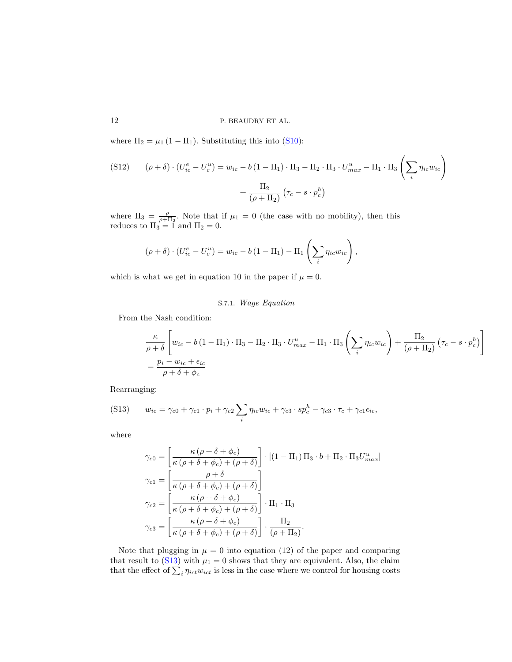where  $\Pi_2 = \mu_1 (1 - \Pi_1)$ . Substituting this into [\(S10\)](#page-10-4):

$$
\begin{aligned} \text{(S12)} \qquad (\rho + \delta) \cdot (U_{ic}^e - U_c^u) &= w_{ic} - b \left( 1 - \Pi_1 \right) \cdot \Pi_3 - \Pi_2 \cdot \Pi_3 \cdot U_{max}^u - \Pi_1 \cdot \Pi_3 \left( \sum_i \eta_{ic} w_{ic} \right) \\ &+ \frac{\Pi_2}{(\rho + \Pi_2)} \left( \tau_c - s \cdot p_c^h \right) \end{aligned}
$$

where  $\Pi_3 = \frac{\rho}{\rho + \Pi_2}$ . Note that if  $\mu_1 = 0$  (the case with no mobility), then this reduces to  $\Pi_3 = \overline{1}$  and  $\Pi_2 = 0$ .

$$
(\rho + \delta) \cdot (U_{ic}^e - U_c^u) = w_{ic} - b(1 - \Pi_1) - \Pi_1 \left(\sum_i \eta_{ic} w_{ic}\right),
$$

which is what we get in equation 10 in the paper if  $\mu = 0$ .

# S.7.1. Wage Equation

From the Nash condition:

$$
\frac{\kappa}{\rho+\delta} \left[ w_{ic} - b(1-\Pi_1) \cdot \Pi_3 - \Pi_2 \cdot \Pi_3 \cdot U_{max}^u - \Pi_1 \cdot \Pi_3 \left( \sum_i \eta_{ic} w_{ic} \right) + \frac{\Pi_2}{(\rho+\Pi_2)} (\tau_c - s \cdot p_c^h) \right]
$$
  
=  $\frac{p_i - w_{ic} + \epsilon_{ic}}{\rho + \delta + \phi_c}$ 

Rearranging:

<span id="page-11-0"></span>
$$
(S13) \qquad w_{ic} = \gamma_{c0} + \gamma_{c1} \cdot p_i + \gamma_{c2} \sum_i \eta_{ic} w_{ic} + \gamma_{c3} \cdot sp_c^h - \gamma_{c3} \cdot \tau_c + \gamma_{c1} \epsilon_{ic},
$$

where

$$
\gamma_{c0} = \left[ \frac{\kappa (\rho + \delta + \phi_c)}{\kappa (\rho + \delta + \phi_c) + (\rho + \delta)} \right] \cdot \left[ (1 - \Pi_1) \Pi_3 \cdot b + \Pi_2 \cdot \Pi_3 U_{max}^u \right]
$$

$$
\gamma_{c1} = \left[ \frac{\rho + \delta}{\kappa (\rho + \delta + \phi_c) + (\rho + \delta)} \right]
$$

$$
\gamma_{c2} = \left[ \frac{\kappa (\rho + \delta + \phi_c)}{\kappa (\rho + \delta + \phi_c) + (\rho + \delta)} \right] \cdot \Pi_1 \cdot \Pi_3
$$

$$
\gamma_{c3} = \left[ \frac{\kappa (\rho + \delta + \phi_c)}{\kappa (\rho + \delta + \phi_c) + (\rho + \delta)} \right] \cdot \frac{\Pi_2}{(\rho + \Pi_2)}.
$$

Note that plugging in  $\mu = 0$  into equation (12) of the paper and comparing that result to [\(S13\)](#page-11-0) with  $\mu_1 = 0$  shows that they are equivalent. Also, the claim that the effect of  $\sum_i \eta_{ict} w_{ict}$  is less in the case where we control for housing costs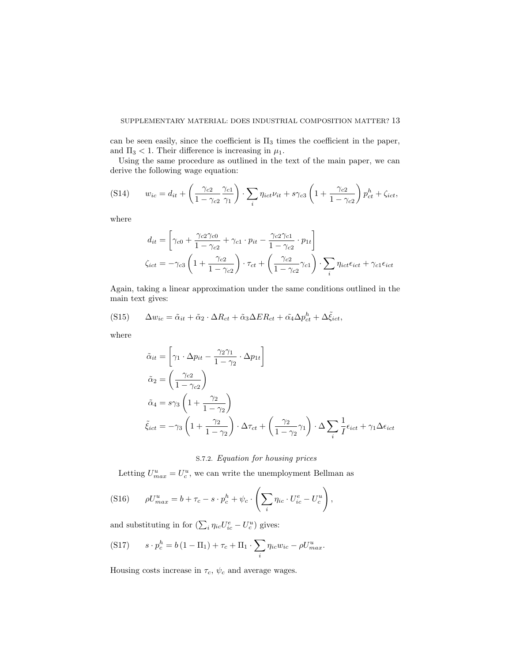can be seen easily, since the coefficient is  $\Pi_3$  times the coefficient in the paper, and  $\Pi_3 < 1$ . Their difference is increasing in  $\mu_1$ .

Using the same procedure as outlined in the text of the main paper, we can derive the following wage equation:

$$
(S14) \t w_{ic} = d_{it} + \left(\frac{\gamma_{c2}}{1 - \gamma_{c2}} \frac{\gamma_{c1}}{\gamma_1}\right) \cdot \sum_i \eta_{ict} \nu_{it} + s\gamma_{c3} \left(1 + \frac{\gamma_{c2}}{1 - \gamma_{c2}}\right) p_{ct}^h + \zeta_{ict},
$$

where

$$
d_{it} = \left[ \gamma_{c0} + \frac{\gamma_{c2}\gamma_{c0}}{1 - \gamma_{c2}} + \gamma_{c1} \cdot p_{it} - \frac{\gamma_{c2}\gamma_{c1}}{1 - \gamma_{c2}} \cdot p_{1t} \right]
$$
  

$$
\zeta_{ict} = -\gamma_{c3} \left( 1 + \frac{\gamma_{c2}}{1 - \gamma_{c2}} \right) \cdot \tau_{ct} + \left( \frac{\gamma_{c2}}{1 - \gamma_{c2}} \gamma_{c1} \right) \cdot \sum_{i} \eta_{ict} \epsilon_{ict} + \gamma_{c1} \epsilon_{ict}
$$

Again, taking a linear approximation under the same conditions outlined in the main text gives:

$$
(S15) \qquad \Delta w_{ic} = \tilde{\alpha}_{it} + \tilde{\alpha}_2 \cdot \Delta R_{ct} + \tilde{\alpha}_3 \Delta ER_{ct} + \tilde{\alpha}_4 \Delta p_{ct}^h + \Delta \tilde{\xi}_{ict},
$$

where

$$
\tilde{\alpha}_{it} = \left[\gamma_1 \cdot \Delta p_{it} - \frac{\gamma_2 \gamma_1}{1 - \gamma_2} \cdot \Delta p_{1t}\right]
$$
\n
$$
\tilde{\alpha}_2 = \left(\frac{\gamma_{c2}}{1 - \gamma_{c2}}\right)
$$
\n
$$
\tilde{\alpha}_4 = s\gamma_3 \left(1 + \frac{\gamma_2}{1 - \gamma_2}\right)
$$
\n
$$
\tilde{\xi}_{ict} = -\gamma_3 \left(1 + \frac{\gamma_2}{1 - \gamma_2}\right) \cdot \Delta \tau_{ct} + \left(\frac{\gamma_2}{1 - \gamma_2} \gamma_1\right) \cdot \Delta \sum_{i} \frac{1}{I} \epsilon_{ict} + \gamma_1 \Delta \epsilon_{ict}
$$

# S.7.2. Equation for housing prices

Letting  $U_{max}^u = U_c^u$ , we can write the unemployment Bellman as

$$
(S16) \qquad \rho U_{max}^u = b + \tau_c - s \cdot p_c^h + \psi_c \cdot \left(\sum_i \eta_{ic} \cdot U_{ic}^e - U_c^u\right),
$$

and substituting in for  $(\sum_i \eta_{ic}U_{ic}^e - U_c^u)$  gives:

$$
(S17) \t s \cdot p_c^h = b(1 - \Pi_1) + \tau_c + \Pi_1 \cdot \sum_i \eta_{ic} w_{ic} - \rho U_{max}^u.
$$

Housing costs increase in  $\tau_c$ ,  $\psi_c$  and average wages.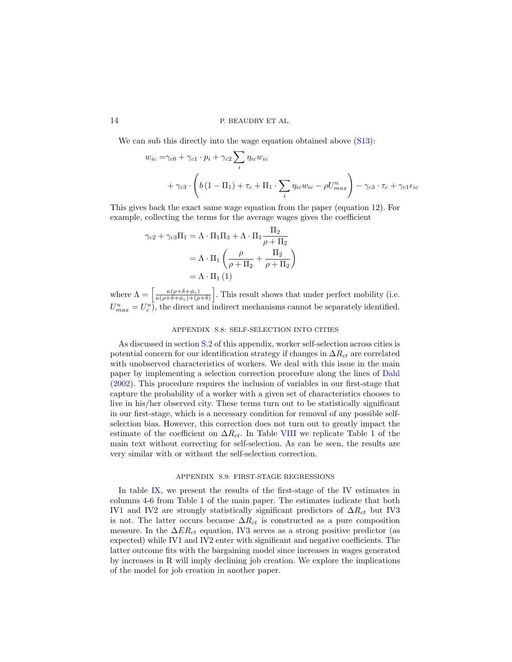We can sub this directly into the wage equation obtained above  $(S13)$ :

$$
w_{ic} = \gamma_{c0} + \gamma_{c1} \cdot p_i + \gamma_{c2} \sum_i \eta_{ic} w_{ic}
$$
  
+ 
$$
\gamma_{c3} \cdot \left( b \left( 1 - \Pi_1 \right) + \tau_c + \Pi_1 \cdot \sum_i \eta_{ic} w_{ic} - \rho U_{max}^u \right) - \gamma_{c3} \cdot \tau_c + \gamma_{c1} \epsilon_{ic}
$$

This gives back the exact same wage equation from the paper (equation 12). For example, collecting the terms for the average wages gives the coefficient

$$
\gamma_{c2} + \gamma_{c3} \Pi_1 = \Lambda \cdot \Pi_1 \Pi_3 + \Lambda \cdot \Pi_1 \frac{\Pi_2}{\rho + \Pi_2}
$$

$$
= \Lambda \cdot \Pi_1 \left( \frac{\rho}{\rho + \Pi_2} + \frac{\Pi_2}{\rho + \Pi_2} \right)
$$

$$
= \Lambda \cdot \Pi_1 (1)
$$

where  $\Lambda = \left[ \frac{\kappa(\rho + \delta + \phi_c)}{\kappa(\rho + \delta + \phi_c) + (\rho + \delta)} \right]$  $\frac{\kappa(\rho+\delta+\phi_c)}{\kappa(\rho+\delta+\phi_c)+(\rho+\delta)}\bigg]$ . This result shows that under perfect mobility (i.e.  $U_{max}^u = U_c^u$ , the direct and indirect mechanisms cannot be separately identified.

## APPENDIX S.8: SELF-SELECTION INTO CITIES

<span id="page-13-0"></span>As discussed in section [S.2](#page-2-0) of this appendix, worker self-selection across cities is potential concern for our identification strategy if changes in  $\Delta R_{ct}$  are correlated with unobserved characteristics of workers. We deal with this issue in the main paper by implementing a selection correction procedure along the lines of [Dahl](#page-15-4) [\(2002\)](#page-15-4). This procedure requires the inclusion of variables in our first-stage that capture the probability of a worker with a given set of characteristics chooses to live in his/her observed city. These terms turn out to be statistically significant in our first-stage, which is a necessary condition for removal of any possible selfselection bias. However, this correction does not turn out to greatly impact the estimate of the coefficient on  $\Delta R_{ct}$ . In Table [VIII](#page-23-0) we replicate Table 1 of the main text without correcting for self-selection. As can be seen, the results are very similar with or without the self-selection correction.

#### APPENDIX S.9: FIRST-STAGE REGRESSIONS

<span id="page-13-1"></span>In table [IX,](#page-23-1) we present the results of the first-stage of the IV estimates in columns 4-6 from Table 1 of the main paper. The estimates indicate that both IV1 and IV2 are strongly statistically significant predictors of  $\Delta R_{ct}$  but IV3 is not. The latter occurs because  $\Delta R_{ct}$  is constructed as a pure composition measure. In the  $\Delta ER_{ct}$  equation, IV3 serves as a strong positive predictor (as expected) while IV1 and IV2 enter with significant and negative coefficients. The latter outcome fits with the bargaining model since increases in wages generated by increases in R will imply declining job creation. We explore the implications of the model for job creation in another paper.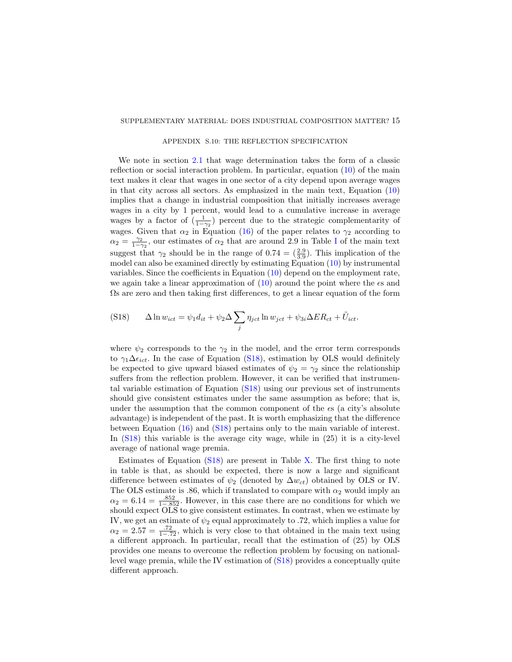### APPENDIX S.10: THE REFLECTION SPECIFICATION

<span id="page-14-0"></span>We note in section [2.1](#page-0-2) that wage determination takes the form of a classic reflection or social interaction problem. In particular, equation [\(10\)](#page-0-2) of the main text makes it clear that wages in one sector of a city depend upon average wages in that city across all sectors. As emphasized in the main text, Equation [\(10\)](#page-0-2) implies that a change in industrial composition that initially increases average wages in a city by 1 percent, would lead to a cumulative increase in average wages by a factor of  $\left(\frac{1}{1-\gamma_2}\right)$  percent due to the strategic complementarity of wages. Given that  $\alpha_2$  in Equation [\(16\)](#page-0-2) of the paper relates to  $\gamma_2$  according to  $\alpha_2 = \frac{\gamma_2}{1-\gamma_2}$ , our estimates of  $\alpha_2$  that are around 2.9 in Table [I](#page-17-0) of the main text suggest that  $\gamma_2$  should be in the range of  $0.74 = (\frac{2.9}{3.9})$ . This implication of the model can also be examined directly by estimating Equation [\(10\)](#page-0-2) by instrumental variables. Since the coefficients in Equation [\(10\)](#page-0-2) depend on the employment rate, we again take a linear approximation of  $(10)$  around the point where the  $\epsilon s$  and Ωs are zero and then taking first differences, to get a linear equation of the form

<span id="page-14-1"></span>
$$
(S18) \qquad \Delta \ln w_{ict} = \psi_1 d_{it} + \psi_2 \Delta \sum_j \eta_{ict} \ln w_{ict} + \psi_{3i} \Delta ER_{ct} + \tilde{U}_{ict}.
$$

where  $\psi_2$  corresponds to the  $\gamma_2$  in the model, and the error term corresponds to  $\gamma_1 \Delta \epsilon_{ict}$ . In the case of Equation [\(S18\)](#page-14-1), estimation by OLS would definitely be expected to give upward biased estimates of  $\psi_2 = \gamma_2$  since the relationship suffers from the reflection problem. However, it can be verified that instrumental variable estimation of Equation [\(S18\)](#page-14-1) using our previous set of instruments should give consistent estimates under the same assumption as before; that is, under the assumption that the common component of the  $\epsilon s$  (a city's absolute advantage) is independent of the past. It is worth emphasizing that the difference between Equation [\(16\)](#page-0-2) and [\(S18\)](#page-14-1) pertains only to the main variable of interest. In [\(S18\)](#page-14-1) this variable is the average city wage, while in (25) it is a city-level average of national wage premia.

Estimates of Equation [\(S18\)](#page-14-1) are present in Table [X.](#page-24-0) The first thing to note in table is that, as should be expected, there is now a large and significant difference between estimates of  $\psi_2$  (denoted by  $\Delta w_{ct}$ ) obtained by OLS or IV. The OLS estimate is .86, which if translated to compare with  $\alpha_2$  would imply an  $\alpha_2 = 6.14 = \frac{.852}{1-.852}$ . However, in this case there are no conditions for which we should expect OLS to give consistent estimates. In contrast, when we estimate by IV, we get an estimate of  $\psi_2$  equal approximately to .72, which implies a value for  $\alpha_2 = 2.57 = \frac{.72}{1-.72}$ , which is very close to that obtained in the main text using a different approach. In particular, recall that the estimation of (25) by OLS provides one means to overcome the reflection problem by focusing on nationallevel wage premia, while the IV estimation of [\(S18\)](#page-14-1) provides a conceptually quite different approach.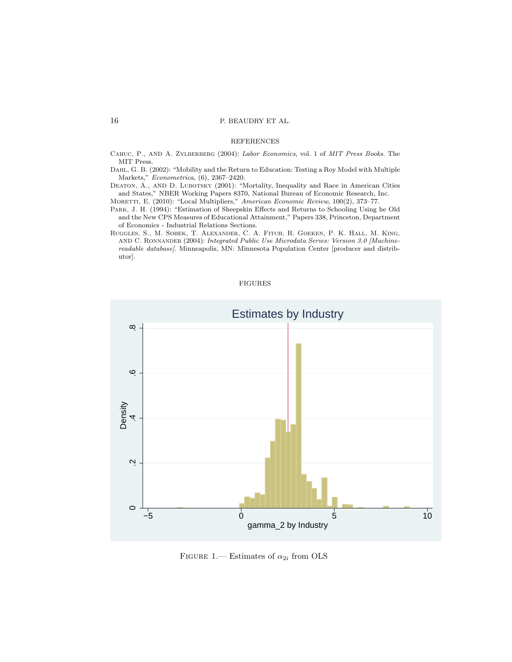### REFERENCES

<span id="page-15-6"></span>CAHUC, P., AND A. ZYLBERBERG (2004): Labor Economics, vol. 1 of MIT Press Books. The MIT Press.

<span id="page-15-4"></span>Dahl, G. B. (2002): "Mobility and the Return to Education: Testing a Roy Model with Multiple Markets," Econometrica, (6), 2367–2420.

<span id="page-15-2"></span>DEATON, A., AND D. LUBOTSKY (2001): "Mortality, Inequality and Race in American Cities and States," NBER Working Papers 8370, National Bureau of Economic Research, Inc. MORETTI, E. (2010): "Local Multipliers," American Economic Review, 100(2), 373-77.

<span id="page-15-3"></span><span id="page-15-1"></span>Park, J. H. (1994): "Estimation of Sheepskin Effects and Returns to Schooling Using he Old and the New CPS Measures of Educational Attainment," Papers 338, Princeton, Department of Economics - Industrial Relations Sections.

<span id="page-15-0"></span>Ruggles, S., M. Sobek, T. Alexander, C. A. Fitch, R. Goeken, P. K. Hall, M. King, and C. Ronnander (2004): Integrated Public Use Microdata Series: Version 3.0 [Machinereadable database]. Minneapolis, MN: Minnesota Population Center [producer and distributor].

### FIGURES



<span id="page-15-5"></span>FIGURE 1.— Estimates of  $\alpha_{2i}$  from OLS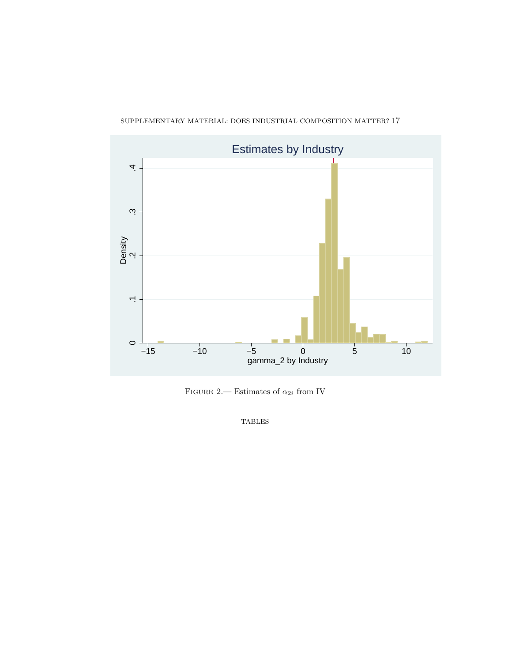



FIGURE 2.— Estimates of  $\alpha_{2i}$  from IV

<span id="page-16-0"></span>TABLES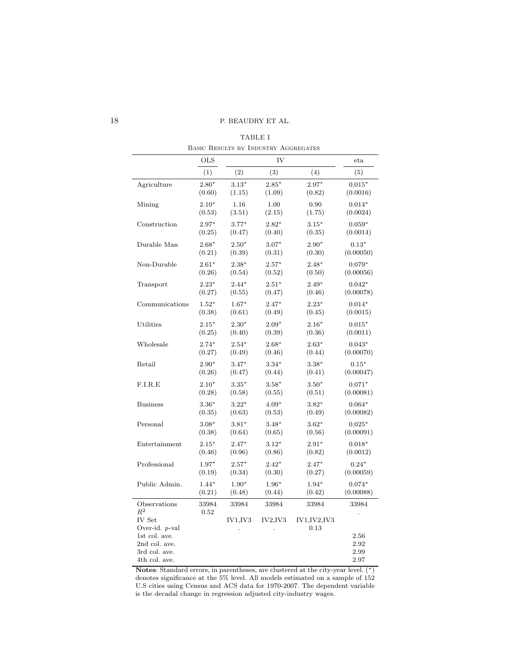| TABLE I                              |  |
|--------------------------------------|--|
| BASIC RESULTS BY INDUSTRY AGGREGATES |  |

<span id="page-17-0"></span>

|                                      | <b>OLS</b> |          | IV       |                     | eta          |
|--------------------------------------|------------|----------|----------|---------------------|--------------|
|                                      | (1)        | (2)      | (3)      | (4)                 | (5)          |
| Agriculture                          | $2.80*$    | $3.13*$  | $2.85*$  | $2.97*$             | $0.015*$     |
|                                      | (0.60)     | (1.15)   | (1.09)   | (0.82)              | (0.0016)     |
| Mining                               | $2.10*$    | 1.16     | 1.00     | 0.90                | $0.014*$     |
|                                      | (0.53)     | (3.51)   | (2.15)   | (1.75)              | (0.0024)     |
| Construction                         | $2.97*$    | $3.77*$  | $2.82*$  | $3.15*$             | $0.059*$     |
|                                      | (0.25)     | (0.47)   | (0.40)   | (0.35)              | (0.0014)     |
| Durable Man                          | $2.68*$    | $2.50*$  | $3.07*$  | $2.90*$             | $0.13*$      |
|                                      | (0.21)     | (0.39)   | (0.31)   | (0.30)              | (0.00050)    |
| Non-Durable                          | $2.61*$    | $2.38*$  | $2.57*$  | $2.48*$             | $0.079*$     |
|                                      | (0.26)     | (0.54)   | (0.52)   | (0.50)              | (0.00056)    |
| Transport                            | $2.23*$    | $2.44*$  | $2.51*$  | $2.49*$             | $0.042*$     |
|                                      | (0.27)     | (0.55)   | (0.47)   | (0.46)              | (0.00078)    |
| Communications                       | $1.52*$    | $1.67*$  | $2.47*$  | $2.23*$             | $0.014*$     |
|                                      | (0.38)     | (0.61)   | (0.49)   | (0.45)              | (0.0015)     |
| Utilities                            | $2.15*$    | $2.30*$  | $2.09*$  | $2.16*$             | $0.015*$     |
|                                      | (0.25)     | (0.40)   | (0.39)   | (0.36)              | (0.0011)     |
| Wholesale                            | $2.74*$    | $2.54*$  | $2.68*$  | $2.63*$             | $0.043*$     |
|                                      | (0.27)     | (0.49)   | (0.46)   | (0.44)              | (0.00070)    |
| Retail                               | $2.90*$    | $3.47*$  | $3.34*$  | $3.38*$             | $0.15*$      |
|                                      | (0.26)     | (0.47)   | (0.44)   | (0.41)              | (0.00047)    |
| F.I.R.E                              | $2.10*$    | $3.35*$  | $3.58*$  | $3.50*$             | $0.071*$     |
|                                      | (0.28)     | (0.58)   | (0.55)   | (0.51)              | (0.00081)    |
| <b>Business</b>                      | $3.36*$    | $3.22*$  | $4.09*$  | $3.82*$             | $0.064*$     |
|                                      | (0.35)     | (0.63)   | (0.53)   | (0.49)              | (0.00082)    |
| Personal                             | $3.08*$    | $3.81*$  | $3.48*$  | $3.62*$             | $0.025*$     |
|                                      | (0.38)     | (0.64)   | (0.65)   | (0.56)              | (0.00091)    |
| Entertainment                        | $2.15*$    | $2.47*$  | $3.12*$  | $2.91*$             | $0.018*$     |
|                                      | (0.46)     | (0.96)   | (0.86)   | (0.82)              | (0.0012)     |
| Professional                         | $1.97*$    | $2.57*$  | $2.42*$  | $2.47*$             | $0.24*$      |
|                                      | (0.19)     | (0.34)   | (0.30)   | (0.27)              | (0.00059)    |
| Public Admin.                        | $1.44*$    | $1.90*$  | 1.96*    | $1.94*$             | $0.074*$     |
|                                      | (0.21)     | (0.48)   | (0.44)   | (0.42)              | (0.00088)    |
| Observations                         | 33984      | 33984    | 33984    | 33984               | 33984        |
| $R^2$<br>IV Set<br>Over-id. $p$ -val | 0.52       | IV1, IV3 | IV2, IV3 | IV1,IV2,IV3<br>0.13 |              |
| 1st col. ave.<br>2nd col. ave.       |            |          |          |                     | 2.56<br>2.92 |
| 3rd col. ave.                        |            |          |          |                     | 2.99         |
| 4th col. ave.                        |            |          |          |                     | 2.97         |

Notes: Standard errors, in parentheses, are clustered at the city-year level. (\*) denotes significance at the 5% level. All models estimated on a sample of 152 U.S cities using Census and ACS data for 1970-2007. The dependent variable is the decadal change in regression adjusted city-industry wages.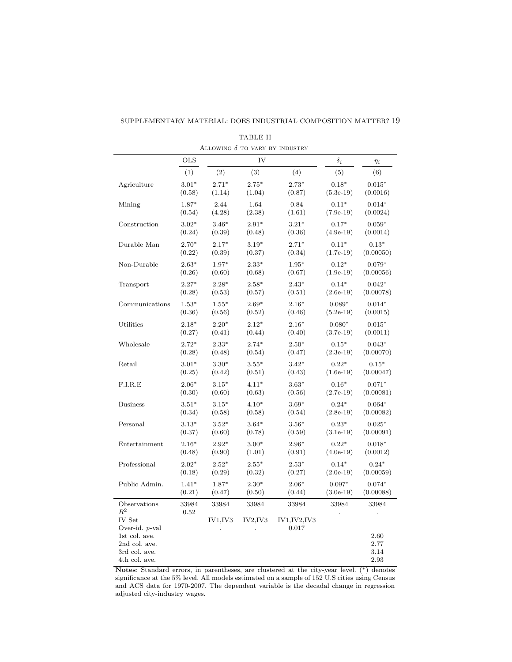| SUPPLEMENTARY MATERIAL: DOES INDUSTRIAL COMPOSITION MATTER? 19 |  |
|----------------------------------------------------------------|--|
|----------------------------------------------------------------|--|

<span id="page-18-0"></span>

|                                | <b>OLS</b> |          | IV       |               | $\delta_i$  | $\eta_i$     |
|--------------------------------|------------|----------|----------|---------------|-------------|--------------|
|                                | (1)        | (2)      | (3)      | (4)           | (5)         | (6)          |
| Agriculture                    | $3.01*$    | $2.71*$  | $2.75*$  | $2.73*$       | $0.18*$     | $0.015*$     |
|                                | (0.58)     | (1.14)   | (1.04)   | (0.87)        | $(5.3e-19)$ | (0.0016)     |
| Mining                         | $1.87*$    | 2.44     | 1.64     | 0.84          | $0.11*$     | $0.014*$     |
|                                | (0.54)     | (4.28)   | (2.38)   | (1.61)        | $(7.9e-19)$ | (0.0024)     |
| Construction                   | $3.02*$    | $3.46*$  | $2.91*$  | $3.21*$       | $0.17*$     | $0.059*$     |
|                                | (0.24)     | (0.39)   | (0.48)   | (0.36)        | $(4.9e-19)$ | (0.0014)     |
| Durable Man                    | $2.70*$    | $2.17*$  | $3.19*$  | $2.71*$       | $0.11*$     | $0.13*$      |
|                                | (0.22)     | (0.39)   | (0.37)   | (0.34)        | $(1.7e-19)$ | (0.00050)    |
| Non-Durable                    | $2.63*$    | $1.97*$  | $2.33*$  | $1.95*$       | $0.12*$     | $0.079*$     |
|                                | (0.26)     | (0.60)   | (0.68)   | (0.67)        | $(1.9e-19)$ | (0.00056)    |
| Transport                      | $2.27*$    | $2.28*$  | $2.58*$  | $2.43*$       | $0.14*$     | $0.042*$     |
|                                | (0.28)     | (0.53)   | (0.57)   | (0.51)        | $(2.6e-19)$ | (0.00078)    |
| Communications                 | $1.53*$    | $1.55*$  | $2.69*$  | $2.16*$       | $0.089*$    | $0.014*$     |
|                                | (0.36)     | (0.56)   | (0.52)   | (0.46)        | $(5.2e-19)$ | (0.0015)     |
| Utilities                      | $2.18*$    | $2.20*$  | $2.12*$  | $2.16*$       | $0.080*$    | $0.015*$     |
|                                | (0.27)     | (0.41)   | (0.44)   | (0.40)        | $(3.7e-19)$ | (0.0011)     |
| Wholesale                      | $2.72*$    | $2.33*$  | $2.74*$  | $2.50*$       | $0.15*$     | $0.043*$     |
|                                | (0.28)     | (0.48)   | (0.54)   | (0.47)        | $(2.3e-19)$ | (0.00070)    |
| Retail                         | $3.01*$    | $3.30*$  | $3.55*$  | $3.42*$       | $0.22*$     | $0.15*$      |
|                                | (0.25)     | (0.42)   | (0.51)   | (0.43)        | $(1.6e-19)$ | (0.00047)    |
| F.I.R.E                        | $2.06*$    | $3.15*$  | $4.11*$  | $3.63*$       | $0.16*$     | $0.071*$     |
|                                | (0.30)     | (0.60)   | (0.63)   | (0.56)        | $(2.7e-19)$ | (0.00081)    |
| <b>Business</b>                | $3.51*$    | $3.15*$  | $4.10*$  | $3.69*$       | $0.24*$     | $0.064*$     |
|                                | (0.34)     | (0.58)   | (0.58)   | (0.54)        | $(2.8e-19)$ | (0.00082)    |
| Personal                       | $3.13*$    | $3.52*$  | $3.64*$  | $3.56*$       | $0.23*$     | $0.025*$     |
|                                | (0.37)     | (0.60)   | (0.78)   | (0.59)        | $(3.1e-19)$ | (0.00091)    |
| Entertainment                  | $2.16*$    | $2.92*$  | $3.00*$  | $2.96*$       | $0.22*$     | $0.018*$     |
|                                | (0.48)     | (0.90)   | (1.01)   | (0.91)        | $(4.0e-19)$ | (0.0012)     |
| Professional                   | $2.02*$    | $2.52*$  | $2.55*$  | $2.53*$       | $0.14*$     | $0.24*$      |
|                                | (0.18)     | (0.29)   | (0.32)   | (0.27)        | $(2.0e-19)$ | (0.00059)    |
| Public Admin.                  | $1.41*$    | $1.87*$  | $2.30*$  | $2.06*$       | $0.097*$    | $0.074*$     |
|                                | (0.21)     | (0.47)   | (0.50)   | (0.44)        | $(3.0e-19)$ | (0.00088)    |
| Observations                   | 33984      | 33984    | 33984    | 33984         | 33984       | 33984        |
| $R^2$<br>IV Set                | 0.52       | IV1, IV3 | IV2, IV3 | IV1, IV2, IV3 |             |              |
| Over-id. p-val                 |            |          |          | 0.017         |             |              |
| 1st col. ave.<br>2nd col. ave. |            |          |          |               |             | 2.60<br>2.77 |
| 3rd col. ave.                  |            |          |          |               |             | 3.14         |
| 4th col. ave.                  |            |          |          |               |             | 2.93         |

TABLE II ALLOWING  $\delta$  to vary by industry

Notes: Standard errors, in parentheses, are clustered at the city-year level. (∗) denotes significance at the 5% level. All models estimated on a sample of 152 U.S cities using Census and ACS data for 1970-2007. The dependent variable is the decadal change in regression adjusted city-industry wages.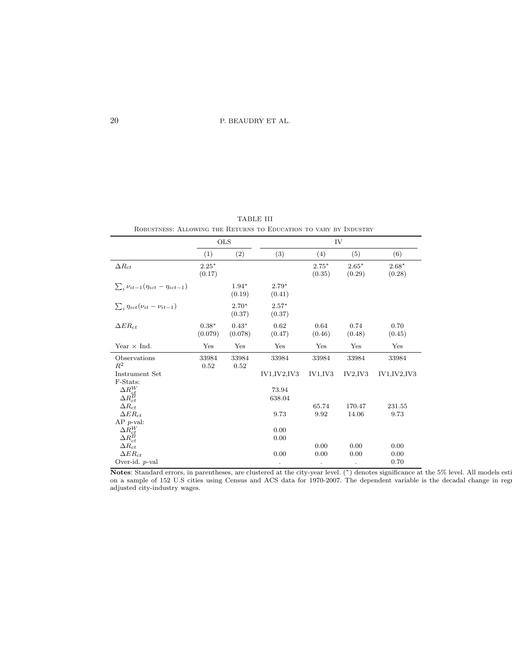TABLE III Robustness: Allowing the Returns to Education to vary by Industry

<span id="page-19-0"></span>

|                                                |                    | <b>OLS</b>         |                   |                   | IV                |                   |
|------------------------------------------------|--------------------|--------------------|-------------------|-------------------|-------------------|-------------------|
|                                                | (1)                | (2)                | (3)               | (4)               | (5)               | (6)               |
| $\Delta R_{ct}$                                | $2.25*$<br>(0.17)  |                    |                   | $2.75*$<br>(0.35) | $2.65*$<br>(0.29) | $2.68*$<br>(0.28) |
| $\sum_{i} \nu_{it-1}(\eta_{ict}-\eta_{ict-1})$ |                    | $1.94*$<br>(0.19)  | $2.79*$<br>(0.41) |                   |                   |                   |
| $\sum_{i} \eta_{ict}(\nu_{it} - \nu_{it-1})$   |                    | $2.70*$<br>(0.37)  | $2.57*$<br>(0.37) |                   |                   |                   |
| $\Delta ER_{ct}$                               | $0.38*$<br>(0.079) | $0.43*$<br>(0.078) | 0.62<br>(0.47)    | 0.64<br>(0.46)    | 0.74<br>(0.48)    | 0.70<br>(0.45)    |
| Year $\times$ Ind.                             | Yes                | Yes                | Yes               | Yes               | Yes               | Yes               |
| Observations<br>$R^2$                          | 33984<br>0.52      | 33984<br>0.52      | 33984             | 33984             | 33984             | 33984             |
| Instrument Set<br>F-Stats:                     |                    |                    | IV1, IV2, IV3     | IV1,IV3           | IV2, IV3          | IV1, IV2, IV3     |
| $\Delta R_{ct}^{W}$                            |                    |                    | 73.94             |                   |                   |                   |
| $\Delta R_{ct}^{\overleftrightarrow{B}}$       |                    |                    | 638.04            |                   |                   |                   |
| $\Delta R_{ct}$                                |                    |                    |                   | 65.74             | 170.47            | 231.55            |
| $\Delta ER_{ct}$                               |                    |                    | 9.73              | 9.92              | 14.06             | 9.73              |
| $AP$ <i>p</i> -val:                            |                    |                    |                   |                   |                   |                   |
| $\Delta R_{ct}^{W}$                            |                    |                    | 0.00              |                   |                   |                   |
| $\Delta R_{ct}^{B}$                            |                    |                    | 0.00              |                   |                   |                   |
| $\Delta R_{ct}$<br>$\Delta ER_{ct}$            |                    |                    |                   | 0.00              | 0.00              | 0.00              |
|                                                |                    |                    | 0.00              | 0.00              | 0.00              | 0.00              |
| Over-id. $p$ -val                              |                    |                    | $\bullet$         |                   | $\bullet$         | 0.70              |

Notes: Standard errors, in parentheses, are clustered at the city-year level. (\*) denotes significance at the 5% level. All models esti on a sample of 152 U.S cities using Census and ACS data for 1970-2007. The dependent variable is the decadal change in regr adjusted city-industry wages.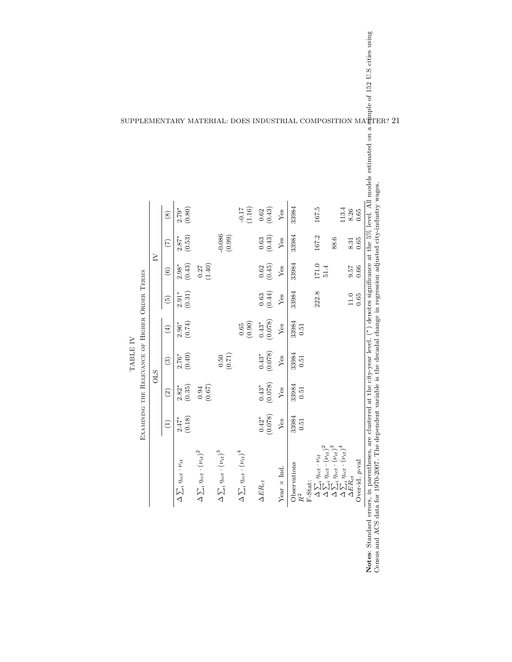<span id="page-20-0"></span>

| at the city-year level. (*) denotes significance at the 5% level. All models estimated on a sample of 152 U.S cities using variable is the decadal change in regression adjusted city-industry wages.<br>33984<br>71.16<br>167.5<br>(0.80)<br>$\frac{0.62}{(0.43)}$<br>$2.79*$<br>113.4<br>8.26<br>${\rm Yes}$<br>$\widehat{\circ}$<br>$-0.086$<br>$(0.99)$<br>33984<br>167.2<br>$\frac{2.87^*}{(0.53)}$<br>$\begin{array}{c} 0.63 \\ 0.43 \end{array}$<br>88.6<br>Yes<br>8.31<br>(7)<br>$\geq$<br>$171.0$<br>$51.4$<br>33984<br>$2.98^*$<br>(0.43)<br>(0.62)<br>(1.40)<br>75.6<br>Yes<br>$\widehat{6}$<br>33984<br>$\begin{array}{c} 0.63 \\ 0.44) \end{array}$<br>222.8<br>$\frac{2.91^*}{(0.31)}$<br>${\rm Yes}$<br>$11.0\,$<br>$\widetilde{5}$<br>$\frac{0.43^*}{(0.078)}$<br>33984<br>$(0.90)$<br>$2.96^*$<br>(0.74)<br>$0.65\,$<br>${\rm Yes}$<br>0.51<br>$\widehat{E}$<br>$(0.43^*$<br>(0.078)<br>33984<br>$2.76^{*}$<br>(0.49)<br>(0.50)<br>${\rm Yes}$<br>0.51<br>$\widehat{S}$<br><b>OLS</b><br>$(0.43^*$<br>(0.078)<br>33984<br>(0.67) |               |                         |  |  |  |
|---------------------------------------------------------------------------------------------------------------------------------------------------------------------------------------------------------------------------------------------------------------------------------------------------------------------------------------------------------------------------------------------------------------------------------------------------------------------------------------------------------------------------------------------------------------------------------------------------------------------------------------------------------------------------------------------------------------------------------------------------------------------------------------------------------------------------------------------------------------------------------------------------------------------------------------------------------------------------------------------------------------------------------------------------|---------------|-------------------------|--|--|--|
|                                                                                                                                                                                                                                                                                                                                                                                                                                                                                                                                                                                                                                                                                                                                                                                                                                                                                                                                                                                                                                                   |               |                         |  |  |  |
|                                                                                                                                                                                                                                                                                                                                                                                                                                                                                                                                                                                                                                                                                                                                                                                                                                                                                                                                                                                                                                                   | $\widehat{c}$ |                         |  |  |  |
|                                                                                                                                                                                                                                                                                                                                                                                                                                                                                                                                                                                                                                                                                                                                                                                                                                                                                                                                                                                                                                                   |               | $\frac{2.82^*}{(0.35)}$ |  |  |  |
|                                                                                                                                                                                                                                                                                                                                                                                                                                                                                                                                                                                                                                                                                                                                                                                                                                                                                                                                                                                                                                                   | $0.94\,$      |                         |  |  |  |
|                                                                                                                                                                                                                                                                                                                                                                                                                                                                                                                                                                                                                                                                                                                                                                                                                                                                                                                                                                                                                                                   |               |                         |  |  |  |
|                                                                                                                                                                                                                                                                                                                                                                                                                                                                                                                                                                                                                                                                                                                                                                                                                                                                                                                                                                                                                                                   |               |                         |  |  |  |
|                                                                                                                                                                                                                                                                                                                                                                                                                                                                                                                                                                                                                                                                                                                                                                                                                                                                                                                                                                                                                                                   |               |                         |  |  |  |
|                                                                                                                                                                                                                                                                                                                                                                                                                                                                                                                                                                                                                                                                                                                                                                                                                                                                                                                                                                                                                                                   | ${\rm Yes}$   |                         |  |  |  |
|                                                                                                                                                                                                                                                                                                                                                                                                                                                                                                                                                                                                                                                                                                                                                                                                                                                                                                                                                                                                                                                   | 0.51          |                         |  |  |  |
|                                                                                                                                                                                                                                                                                                                                                                                                                                                                                                                                                                                                                                                                                                                                                                                                                                                                                                                                                                                                                                                   |               |                         |  |  |  |
|                                                                                                                                                                                                                                                                                                                                                                                                                                                                                                                                                                                                                                                                                                                                                                                                                                                                                                                                                                                                                                                   |               |                         |  |  |  |
|                                                                                                                                                                                                                                                                                                                                                                                                                                                                                                                                                                                                                                                                                                                                                                                                                                                                                                                                                                                                                                                   |               |                         |  |  |  |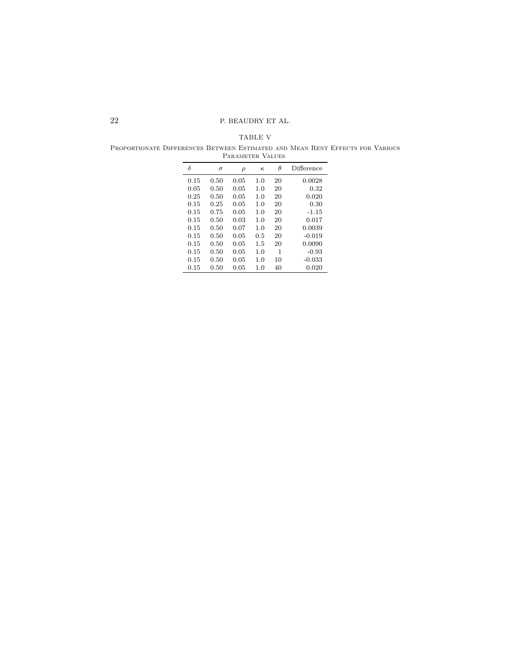TABLE V

<span id="page-21-0"></span>Proportionate Differences Between Estimated and Mean Rent Effects for Various Parameter Values  $\frac{1}{2}$ 

| δ    | $\sigma$ | $\rho$ | к   | θ  | Difference |  |  |  |  |  |
|------|----------|--------|-----|----|------------|--|--|--|--|--|
| 0.15 | 0.50     | 0.05   | 1.0 | 20 | 0.0028     |  |  |  |  |  |
| 0.05 | 0.50     | 0.05   | 1.0 | 20 | 0.32       |  |  |  |  |  |
| 0.25 | 0.50     | 0.05   | 1.0 | 20 | 0.020      |  |  |  |  |  |
| 0.15 | 0.25     | 0.05   | 1.0 | 20 | 0.30       |  |  |  |  |  |
| 0.15 | 0.75     | 0.05   | 1.0 | 20 | $-1.15$    |  |  |  |  |  |
| 0.15 | 0.50     | 0.03   | 1.0 | 20 | 0.017      |  |  |  |  |  |
| 0.15 | 0.50     | 0.07   | 1.0 | 20 | 0.0039     |  |  |  |  |  |
| 0.15 | 0.50     | 0.05   | 0.5 | 20 | $-0.019$   |  |  |  |  |  |
| 0.15 | 0.50     | 0.05   | 1.5 | 20 | 0.0090     |  |  |  |  |  |
| 0.15 | 0.50     | 0.05   | 1.0 | 1  | $-0.93$    |  |  |  |  |  |
| 0.15 | 0.50     | 0.05   | 1.0 | 10 | $-0.033$   |  |  |  |  |  |
| 0.15 | 0.50     | 0.05   | 1.0 | 40 | 0.020      |  |  |  |  |  |
|      |          |        |     |    |            |  |  |  |  |  |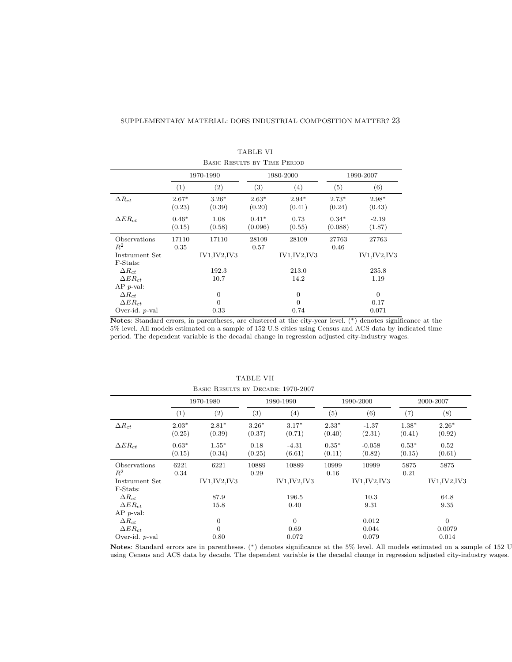<span id="page-22-0"></span>

|                     |                   | BASIC RESULTS BY TIME PERIOD |                    |                   |                    |                   |
|---------------------|-------------------|------------------------------|--------------------|-------------------|--------------------|-------------------|
|                     |                   | 1970-1990                    |                    | 1980-2000         |                    | 1990-2007         |
|                     | (1)               | $\left( 2\right)$            | (3)                | (4)               | (5)                | (6)               |
| $\Delta R_{ct}$     | $2.67*$<br>(0.23) | $3.26*$<br>(0.39)            | $2.63*$<br>(0.20)  | $2.94*$<br>(0.41) | $2.73*$<br>(0.24)  | $2.98*$<br>(0.43) |
| $\Delta ER_{ct}$    | $0.46*$<br>(0.15) | 1.08<br>(0.58)               | $0.41*$<br>(0.096) | 0.73<br>(0.55)    | $0.34*$<br>(0.088) | $-2.19$<br>(1.87) |
| Observations        | 17110             | 17110                        | 28109              | 28109             | 27763              | 27763             |
| $R^2$               | 0.35              |                              | 0.57               |                   | 0.46               |                   |
| Instrument Set      |                   | IV1, IV2, IV3                |                    | IV1, IV2, IV3     |                    | IV1, IV2, IV3     |
| F-Stats:            |                   |                              |                    |                   |                    |                   |
| $\Delta R_{ct}$     |                   | 192.3                        |                    | 213.0             |                    | 235.8             |
| $\Delta ER_{ct}$    |                   | 10.7                         |                    | 14.2              |                    | 1.19              |
| $AP$ <i>p</i> -val: |                   |                              |                    |                   |                    |                   |
| $\Delta R_{ct}$     |                   | $\mathbf{0}$                 |                    | $\boldsymbol{0}$  |                    | $\theta$          |
| $\Delta ER_{ct}$    |                   | $\overline{0}$               |                    | $\boldsymbol{0}$  |                    | 0.17              |
| Over-id. $p$ -val   |                   | 0.33                         |                    | 0.74              |                    | 0.071             |

TABLE VI

Notes: Standard errors, in parentheses, are clustered at the city-year level. (∗) denotes significance at the 5% level. All models estimated on a sample of 152 U.S cities using Census and ACS data by indicated time period. The dependent variable is the decadal change in regression adjusted city-industry wages.

<span id="page-22-1"></span>

|                     |                  | DAMO RESOLIS DI DEOADE, IVIO-2001 |         |                |         |               |         |                |
|---------------------|------------------|-----------------------------------|---------|----------------|---------|---------------|---------|----------------|
|                     |                  | 1970-1980                         |         | 1980-1990      |         | 1990-2000     |         | 2000-2007      |
|                     | $\left(1\right)$ | $\left( 2\right)$                 | (3)     | (4)            | (5)     | (6)           | (7)     | (8)            |
| $\Delta R_{ct}$     | $2.03*$          | $2.81*$                           | $3.26*$ | $3.17*$        | $2.33*$ | $-1.37$       | $1.38*$ | $2.26*$        |
|                     | (0.25)           | (0.39)                            | (0.37)  | (0.71)         | (0.40)  | (2.31)        | (0.41)  | (0.92)         |
| $\Delta ER_{ct}$    | $0.63*$          | $1.55*$                           | 0.18    | $-4.31$        | $0.35*$ | $-0.058$      | $0.53*$ | 0.52           |
|                     | (0.15)           | (0.34)                            | (0.25)  | (6.61)         | (0.11)  | (0.82)        | (0.15)  | (0.61)         |
| Observations        | 6221             | 6221                              | 10889   | 10889          | 10999   | 10999         | 5875    | 5875           |
| $R^2$               | 0.34             |                                   | 0.29    |                | 0.16    |               | 0.21    |                |
| Instrument Set      |                  | IV1, IV2, IV3                     |         | IV1, IV2, IV3  |         | IV1, IV2, IV3 |         | IV1, IV2, IV3  |
| F-Stats:            |                  |                                   |         |                |         |               |         |                |
| $\Delta R_{ct}$     |                  | 87.9                              |         | 196.5          |         | 10.3          |         | 64.8           |
| $\Delta ER_{ct}$    |                  | 15.8                              |         | 0.40           |         | 9.31          |         | 9.35           |
| $AP$ <i>p</i> -val: |                  |                                   |         |                |         |               |         |                |
| $\Delta R_{ct}$     |                  | $\boldsymbol{0}$                  |         | $\overline{0}$ |         | 0.012         |         | $\overline{0}$ |
| $\Delta ER_{ct}$    |                  | $\overline{0}$                    |         | 0.69           |         | 0.044         |         | 0.0079         |
| Over-id. $p$ -val   |                  | 0.80                              |         | 0.072          |         | 0.079         |         | 0.014          |

TABLE VII BASIC RESULTS BY DECADE: 1970-2007

Notes: Standard errors are in parentheses. (\*) denotes significance at the 5% level. All models estimated on a sample of 152 U using Census and ACS data by decade. The dependent variable is the decadal change in regression adjusted city-industry wages.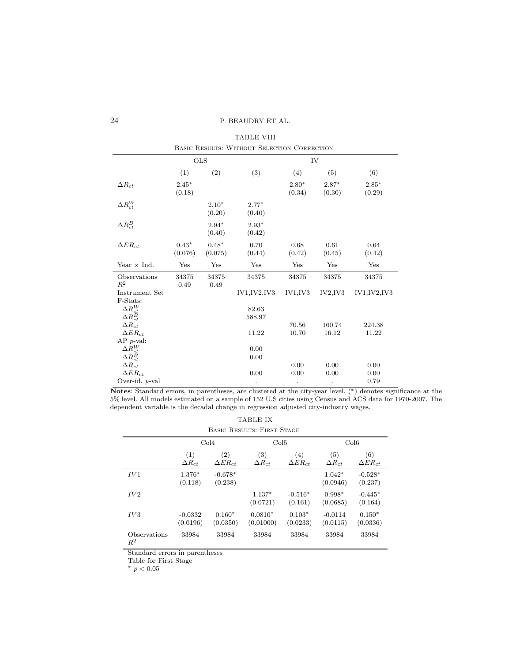<span id="page-23-0"></span>

|                                                            |                    |                    | DASIC RESULTS. WITHOUT DEEDCTION COMMECTION |                   |                   |                      |
|------------------------------------------------------------|--------------------|--------------------|---------------------------------------------|-------------------|-------------------|----------------------|
|                                                            |                    | <b>OLS</b>         |                                             |                   | IV                |                      |
|                                                            | (1)                | (2)                | (3)                                         | (4)               | (5)               | (6)                  |
| $\Delta R_{ct}$                                            | $2.45*$<br>(0.18)  |                    |                                             | $2.80*$<br>(0.34) | $2.87*$<br>(0.30) | $2.85*$<br>(0.29)    |
| $\Delta R_{ct}^{W}$                                        |                    | $2.10*$<br>(0.20)  | $2.77*$<br>(0.40)                           |                   |                   |                      |
| $\Delta R_{ct}^{B}$                                        |                    | $2.94*$<br>(0.40)  | $2.93*$<br>(0.42)                           |                   |                   |                      |
| $\Delta ER_{ct}$                                           | $0.43*$<br>(0.076) | $0.48*$<br>(0.075) | 0.70<br>(0.44)                              | 0.68<br>(0.42)    | 0.61<br>(0.45)    | 0.64<br>(0.42)       |
| Year $\times$ Ind.                                         | Yes                | Yes                | Yes                                         | Yes               | Yes               | Yes                  |
| Observations<br>$R^2$                                      | 34375<br>0.49      | 34375<br>0.49      | 34375                                       | 34375             | 34375             | 34375                |
| Instrument Set                                             |                    |                    | IV1, IV2, IV3                               | IV1, IV3          | IV2, IV3          | IV1, IV2, IV3        |
| F-Stats:<br>$\Delta R_{ct}^{W}$<br>$\Delta R_{ct}^{B}$     |                    |                    | 82.63<br>588.97                             |                   |                   |                      |
| $\Delta R_{ct}$<br>$\Delta ER_{ct}$<br>$AP$ <i>p</i> -val: |                    |                    | 11.22                                       | 70.56<br>10.70    | 160.74<br>16.12   | 224.38<br>11.22      |
| $\Delta R_{ct}^{W} \ \Delta R_{ct}^{B}$                    |                    |                    | 0.00<br>0.00                                |                   |                   |                      |
| $\Delta R_{ct}$<br>$\Delta ER_{ct}$<br>Over-id. $p$ -val   |                    |                    | 0.00                                        | 0.00<br>0.00      | 0.00<br>0.00      | 0.00<br>0.00<br>0.79 |
|                                                            |                    |                    | $\bullet$                                   |                   | $\bullet$         |                      |

TABLE VIII Basic Results: Without Selection Correction

Notes: Standard errors, in parentheses, are clustered at the city-year level. (∗) denotes significance at the 5% level. All models estimated on a sample of 152 U.S cities using Census and ACS data for 1970-2007. The dependent variable is the decadal change in regression adjusted city-industry wages.

<span id="page-23-1"></span>

|                       |                        |                         | TABLE IX                          |                         |                        |                         |
|-----------------------|------------------------|-------------------------|-----------------------------------|-------------------------|------------------------|-------------------------|
|                       |                        |                         | <b>BASIC RESULTS: FIRST STAGE</b> |                         |                        |                         |
|                       |                        | Col4                    | Col5                              |                         |                        | Col6                    |
|                       | (1)<br>$\Delta R_{ct}$ | (2)<br>$\Delta ER_{ct}$ | (3)<br>$\Delta R_{ct}$            | (4)<br>$\Delta ER_{ct}$ | (5)<br>$\Delta R_{ct}$ | (6)<br>$\Delta ER_{ct}$ |
| IV1                   | $1.376*$<br>(0.118)    | $-0.678*$<br>(0.238)    |                                   |                         | $1.042*$<br>(0.0946)   | $-0.528*$<br>(0.237)    |
| IV2                   |                        |                         | $1.137*$<br>(0.0721)              | $-0.516*$<br>(0.161)    | $0.998*$<br>(0.0685)   | $-0.445*$<br>(0.164)    |
| IV3                   | $-0.0332$<br>(0.0196)  | $0.160*$<br>(0.0350)    | $0.0810*$<br>(0.01000)            | $0.103*$<br>(0.0233)    | $-0.0114$<br>(0.0115)  | $0.150*$<br>(0.0336)    |
| Observations<br>$R^2$ | 33984                  | 33984                   | 33984                             | 33984                   | 33984                  | 33984                   |

Standard errors in parentheses

Table for First Stage

<sup>∗</sup> p < 0.05